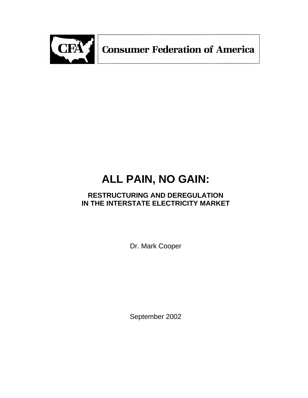

**Consumer Federation of America** 

# **ALL PAIN, NO GAIN:**

# **RESTRUCTURING AND DEREGULATION IN THE INTERSTATE ELECTRICITY MARKET**

Dr. Mark Cooper

September 2002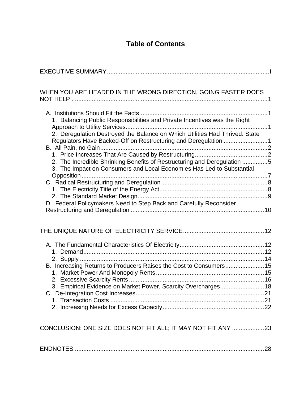# **Table of Contents**

| WHEN YOU ARE HEADED IN THE WRONG DIRECTION, GOING FASTER DOES                                                                                                                                                                                                                                                                                                                                                                                         |
|-------------------------------------------------------------------------------------------------------------------------------------------------------------------------------------------------------------------------------------------------------------------------------------------------------------------------------------------------------------------------------------------------------------------------------------------------------|
| 1. Balancing Public Responsibilities and Private Incentives was the Right<br>2. Deregulation Destroyed the Balance on Which Utilities Had Thrived: State<br>Regulators Have Backed-Off on Restructuring and Deregulation 1<br>2. The Incredible Shrinking Benefits of Restructuring and Deregulation 5<br>3. The Impact on Consumers and Local Economies Has Led to Substantial<br>D. Federal Policymakers Need to Step Back and Carefully Reconsider |
|                                                                                                                                                                                                                                                                                                                                                                                                                                                       |
| B. Increasing Returns to Producers Raises the Cost to Consumers15<br>3. Empirical Evidence on Market Power, Scarcity Overcharges18                                                                                                                                                                                                                                                                                                                    |
| CONCLUSION: ONE SIZE DOES NOT FIT ALL; IT MAY NOT FIT ANY 23                                                                                                                                                                                                                                                                                                                                                                                          |
|                                                                                                                                                                                                                                                                                                                                                                                                                                                       |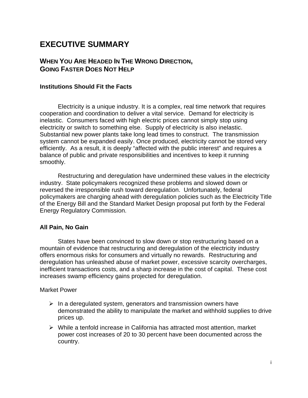# **EXECUTIVE SUMMARY**

# **WHEN YOU ARE HEADED IN THE WRONG DIRECTION, GOING FASTER DOES NOT HELP**

#### **Institutions Should Fit the Facts**

Electricity is a unique industry. It is a complex, real time network that requires cooperation and coordination to deliver a vital service. Demand for electricity is inelastic. Consumers faced with high electric prices cannot simply stop using electricity or switch to something else. Supply of electricity is also inelastic. Substantial new power plants take long lead times to construct. The transmission system cannot be expanded easily. Once produced, electricity cannot be stored very efficiently. As a result, it is deeply "affected with the public interest" and requires a balance of public and private responsibilities and incentives to keep it running smoothly.

Restructuring and deregulation have undermined these values in the electricity industry. State policymakers recognized these problems and slowed down or reversed the irresponsible rush toward deregulation. Unfortunately, federal policymakers are charging ahead with deregulation policies such as the Electricity Title of the Energy Bill and the Standard Market Design proposal put forth by the Federal Energy Regulatory Commission.

#### **All Pain, No Gain**

States have been convinced to slow down or stop restructuring based on a mountain of evidence that restructuring and deregulation of the electricity industry offers enormous risks for consumers and virtually no rewards. Restructuring and deregulation has unleashed abuse of market power, excessive scarcity overcharges, inefficient transactions costs, and a sharp increase in the cost of capital. These cost increases swamp efficiency gains projected for deregulation.

#### Market Power

- $\triangleright$  In a deregulated system, generators and transmission owners have demonstrated the ability to manipulate the market and withhold supplies to drive prices up.
- $\triangleright$  While a tenfold increase in California has attracted most attention, market power cost increases of 20 to 30 percent have been documented across the country.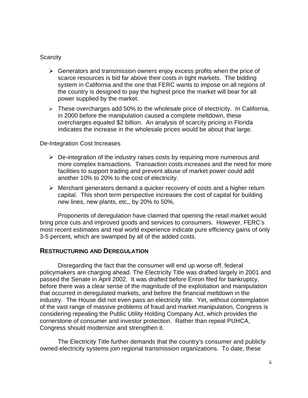#### **Scarcity**

- $\triangleright$  Generators and transmission owners enjoy excess profits when the price of scarce resources is bid far above their costs in tight markets. The bidding system in California and the one that FERC wants to impose on all regions of the country is designed to pay the highest price the market will bear for all power supplied by the market.
- $\triangleright$  These overcharges add 50% to the wholesale price of electricity. In California, in 2000 before the manipulation caused a complete meltdown, these overcharges equaled \$2 billion. An analysis of scarcity pricing in Florida indicates the increase in the wholesale prices would be about that large.

#### De-Integration Cost Increases

- $\triangleright$  De-integration of the industry raises costs by requiring more numerous and more complex transactions. Transaction costs increases and the need for more facilities to support trading and prevent abuse of market power could add another 10% to 20% to the cost of electricity.
- $\triangleright$  Merchant generators demand a quicker recovery of costs and a higher return capital. This short term perspective increases the cost of capital for building new lines, new plants, etc,, by 20% to 50%,

Proponents of deregulation have claimed that opening the retail market would bring price cuts and improved goods and services to consumers. However, FERC's most recent estimates and real world experience indicate pure efficiency gains of only 3-5 percent, which are swamped by all of the added costs.

#### **RESTRUCTURING AND DEREGULATION**

Disregarding the fact that the consumer will end up worse off, federal policymakers are charging ahead. The Electricity Title was drafted largely in 2001 and passed the Senate in April 2002. It was drafted before Enron filed for bankruptcy, before there was a clear sense of the magnitude of the exploitation and manipulation that occurred in deregulated markets, and before the financial meltdown in the industry. The House did not even pass an electricity title. Yet, without contemplation of the vast range of massive problems of fraud and market manipulation, Congress is considering repealing the Public Utility Holding Company Act, which provides the cornerstone of consumer and investor protection. Rather than repeal PUHCA, Congress should modernize and strengthen it.

The Electricity Title further demands that the country's consumer and publicly owned electricity systems join regional transmission organizations. To date, these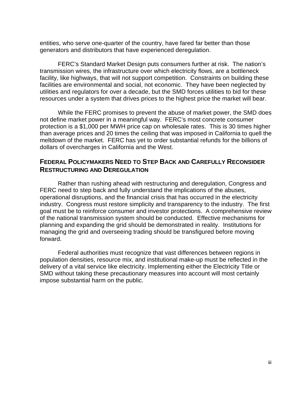entities, who serve one-quarter of the country, have fared far better than those generators and distributors that have experienced deregulation.

FERC's Standard Market Design puts consumers further at risk. The nation's transmission wires, the infrastructure over which electricity flows, are a bottleneck facility, like highways, that will not support competition. Constraints on building these facilities are environmental and social, not economic. They have been neglected by utilities and regulators for over a decade, but the SMD forces utilities to bid for these resources under a system that drives prices to the highest price the market will bear.

While the FERC promises to prevent the abuse of market power, the SMD does not define market power in a meaningful way. FERC's most concrete consumer protection is a \$1,000 per MWH price cap on wholesale rates. This is 30 times higher than average prices and 20 times the ceiling that was imposed in California to quell the meltdown of the market. FERC has yet to order substantial refunds for the billions of dollars of overcharges in California and the West.

# **FEDERAL POLICYMAKERS NEED TO STEP BACK AND CAREFULLY RECONSIDER RESTRUCTURING AND DEREGULATION**

Rather than rushing ahead with restructuring and deregulation, Congress and FERC need to step back and fully understand the implications of the abuses, operational disruptions, and the financial crisis that has occurred in the electricity industry. Congress must restore simplicity and transparency to the industry. The first goal must be to reinforce consumer and investor protections. A comprehensive review of the national transmission system should be conducted. Effective mechanisms for planning and expanding the grid should be demonstrated in reality. Institutions for managing the grid and overseeing trading should be transfigured before moving forward.

Federal authorities must recognize that vast differences between regions in population densities, resource mix, and institutional make-up must be reflected in the delivery of a vital service like electricity. Implementing either the Electricity Title or SMD without taking these precautionary measures into account will most certainly impose substantial harm on the public.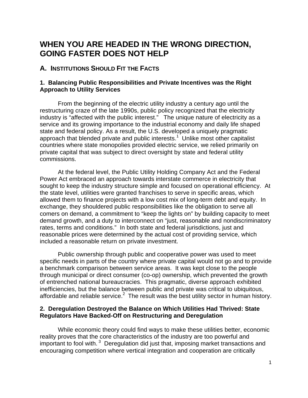# **WHEN YOU ARE HEADED IN THE WRONG DIRECTION, GOING FASTER DOES NOT HELP**

### **A. INSTITUTIONS SHOULD FIT THE FACTS**

#### **1. Balancing Public Responsibilities and Private Incentives was the Right Approach to Utility Services**

From the beginning of the electric utility industry a century ago until the restructuring craze of the late 1990s, public policy recognized that the electricity industry is "affected with the public interest." The unique nature of electricity as a service and its growing importance to the industrial economy and daily life shaped state and federal policy. As a result, the U.S. developed a uniquely pragmatic approach that blended private and public interests.<sup>1</sup> Unlike most other capitalist countries where state monopolies provided electric service, we relied primarily on private capital that was subject to direct oversight by state and federal utility commissions.

At the federal level, the Public Utility Holding Company Act and the Federal Power Act embraced an approach towards interstate commerce in electricity that sought to keep the industry structure simple and focused on operational efficiency. At the state level, utilities were granted franchises to serve in specific areas, which allowed them to finance projects with a low cost mix of long-term debt and equity. In exchange, they shouldered public responsibilities like the obligation to serve all comers on demand, a commitment to "keep the lights on" by building capacity to meet demand growth, and a duty to interconnect on "just, reasonable and nondiscriminatory rates, terms and conditions." In both state and federal jurisdictions, just and reasonable prices were determined by the actual cost of providing service, which included a reasonable return on private investment.

Public ownership through public and cooperative power was used to meet specific needs in parts of the country where private capital would not go and to provide a benchmark comparison between service areas. It was kept close to the people through municipal or direct consumer (co-op) ownership, which prevented the growth of entrenched national bureaucracies. This pragmatic, diverse approach exhibited inefficiencies, but the balance between public and private was critical to ubiquitous, affordable and reliable service. $^2$  The result was the best utility sector in human history.

#### **2. Deregulation Destroyed the Balance on Which Utilities Had Thrived: State Regulators Have Backed-Off on Restructuring and Deregulation**

While economic theory could find ways to make these utilities better, economic reality proves that the core characteristics of the industry are too powerful and important to fool with.  $3$  Deregulation did just that, imposing market transactions and encouraging competition where vertical integration and cooperation are critically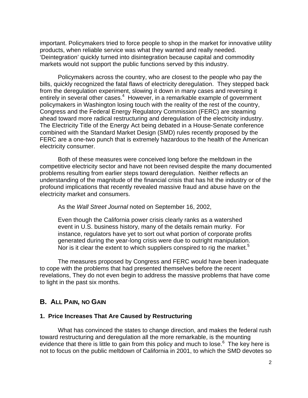important. Policymakers tried to force people to shop in the market for innovative utility products, when reliable service was what they wanted and really needed. 'Deintegration' quickly turned into disintegration because capital and commodity markets would not support the public functions served by this industry.

Policymakers across the country, who are closest to the people who pay the bills, quickly recognized the fatal flaws of electricity deregulation. They stepped back from the deregulation experiment, slowing it down in many cases and reversing it entirely in several other cases.<sup>4</sup> However, in a remarkable example of government policymakers in Washington losing touch with the reality of the rest of the country, Congress and the Federal Energy Regulatory Commission (FERC) are steaming ahead toward more radical restructuring and deregulation of the electricity industry. The Electricity Title of the Energy Act being debated in a House-Senate conference combined with the Standard Market Design (SMD) rules recently proposed by the FERC are a one-two punch that is extremely hazardous to the health of the American electricity consumer.

Both of these measures were conceived long before the meltdown in the competitive electricity sector and have not been revised despite the many documented problems resulting from earlier steps toward deregulation. Neither reflects an understanding of the magnitude of the financial crisis that has hit the industry or of the profound implications that recently revealed massive fraud and abuse have on the electricity market and consumers.

As the *Wall Street Journal* noted on September 16, 2002,

Even though the California power crisis clearly ranks as a watershed event in U.S. business history, many of the details remain murky. For instance, regulators have yet to sort out what portion of corporate profits generated during the year-long crisis were due to outright manipulation. Nor is it clear the extent to which suppliers conspired to rig the market.<sup>5</sup>

The measures proposed by Congress and FERC would have been inadequate to cope with the problems that had presented themselves before the recent revelations, They do not even begin to address the massive problems that have come to light in the past six months.

### **B. ALL PAIN, NO GAIN**

#### **1. Price Increases That Are Caused by Restructuring**

What has convinced the states to change direction, and makes the federal rush toward restructuring and deregulation all the more remarkable, is the mounting evidence that there is little to gain from this policy and much to lose.<sup>6</sup> The key here is not to focus on the public meltdown of California in 2001, to which the SMD devotes so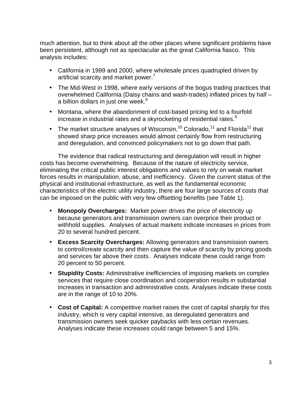much attention, but to think about all the other places where significant problems have been persistent, although not as spectacular as the great California fiasco. This analysis includes:

- California in 1999 and 2000, where wholesale prices quadrupled driven by artificial scarcity and market power.<sup>7</sup>
- The Mid-West in 1998, where early versions of the bogus trading practices that overwhelmed California (Daisy chains and wash-trades) inflated prices by half – a billion dollars in just one week. $8$
- Montana, where the abandonment of cost-based pricing led to a fourfold increase in industrial rates and a skyrocketing of residential rates.<sup>9</sup>
- The market structure analyses of Wisconsin,<sup>10</sup> Colorado,<sup>11</sup> and Florida<sup>12</sup> that showed sharp price increases would almost certainly flow from restructuring and deregulation, and convinced policymakers not to go down that path.

The evidence that radical restructuring and deregulation will result in higher costs has become overwhelming. Because of the nature of electricity service, eliminating the critical public interest obligations and values to rely on weak market forces results in manipulation, abuse, and inefficiency. Given the current status of the physical and institutional infrastructure, as well as the fundamental economic characteristics of the electric utility industry, there are four large sources of costs that can be imposed on the public with very few offsetting benefits (see Table 1).

- **Monopoly Overcharges:** Market power drives the price of electricity up because generators and transmission owners can overprice their product or withhold supplies. Analyses of actual markets indicate increases in prices from 20 to several hundred percent.
- **Excess Scarcity Overcharges:** Allowing generators and transmission owners to control/create scarcity and then capture the value of scarcity by pricing goods and services far above their costs. Analyses indicate these could range from 20 percent to 50 percent.
- **Stupidity Costs:** Administrative inefficiencies of imposing markets on complex services that require close coordination and cooperation results in substantial increases in transaction and administrative costs. Analyses indicate these costs are in the range of 10 to 20%.
- **Cost of Capital:** A competitive market raises the cost of capital sharply for this industry, which is very capital intensive, as deregulated generators and transmission owners seek quicker paybacks with less certain revenues. Analyses indicate these increases could range between 5 and 15%.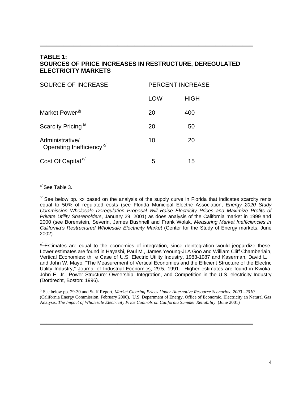#### **TABLE 1: SOURCES OF PRICE INCREASES IN RESTRUCTURE, DEREGULATED ELECTRICITY MARKETS**

**\_\_\_\_\_\_\_\_\_\_\_\_\_\_\_\_\_\_\_\_\_\_\_\_\_\_\_\_\_\_\_\_\_\_\_\_\_\_\_\_\_\_\_\_\_\_\_\_\_\_\_\_\_\_\_\_\_\_\_\_\_\_\_**

| SOURCE OF INCREASE                                      | <b>PERCENT INCREASE</b> |             |  |
|---------------------------------------------------------|-------------------------|-------------|--|
|                                                         | LOW                     | <b>HIGH</b> |  |
| Market Power <sup>a/</sup>                              | 20                      | 400         |  |
| Scarcity Pricing <sup>b/</sup>                          | 20                      | 50          |  |
| Administrative/<br>Operating Inefficiency <sup>c/</sup> | 10                      | 20          |  |
| Cost Of Capital <sup>d/</sup>                           | 5                       | 15          |  |

 $\frac{a}{b}$  See Table 3.

 $\frac{b}{c}$  See below pp. xx based on the analysis of the supply curve in Florida that indicates scarcity rents equal to 50% of regulated costs (see Florida Municipal Electric Association, *Energy 2020 Study Commission Wholesale Deregulation Proposal Will Raise Electricity Prices and Maximize Profits of Private Utility Shareholders*, January 29, 2001) as does analysis of the California market in 1999 and 2000 (see Borenstein, Severin, James Bushnell and Frank Wolak, *Measuring Market Inefficiencies in California's Restructured Wholesale Electricity Market* (Center for the Study of Energy markets, June 2002).

 $\frac{\sigma}{\sqrt{2}}$  Estimates are equal to the economies of integration, since deintegration would jeopardize these. Lower estimates are found in Hayashi, Paul M., James Yeoung-JLA Goo and William Cliff Chamberlain, Vertical Economies: th e Case of U.S. Electric Utility Industry, 1983-1987 and Kaserman, David L. and John W. Mayo, "The Measurement of Vertical Economies and the Efficient Structure of the Electric Utility Industry," Journal of Industrial Economics, 29:5, 1991. Higher estimates are found in Kwoka, John E. Jr., Power Structure: Ownership, Integration, and Competition in the U.S. electricity Industry (Dordrecht, Boston: 1996).

d/ See below pp. 29-30 and Staff Report, *Market Clearing Prices Under Alternative Resource Scenarios: 2000 –2010* (California Energy Commission, February 2000). U.S. Department of Energy, Office of Economic, Electricity an Natural Gas Analysis, *The Impact of Wholesale Electricity Price Controls on California Summer Reliability* (June 2001)

**\_\_\_\_\_\_\_\_\_\_\_\_\_\_\_\_\_\_\_\_\_\_\_\_\_\_\_\_\_\_\_\_\_\_\_\_\_\_\_\_\_\_\_\_\_\_\_\_\_\_\_\_\_\_\_\_\_\_\_\_\_\_\_**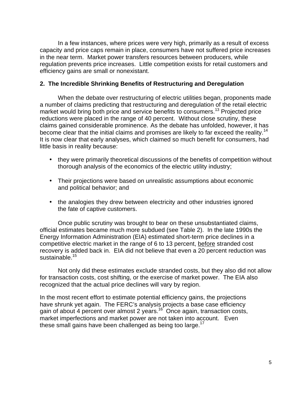In a few instances, where prices were very high, primarily as a result of excess capacity and price caps remain in place, consumers have not suffered price increases in the near term. Market power transfers resources between producers, while regulation prevents price increases. Little competition exists for retail customers and efficiency gains are small or nonexistant.

#### **2. The Incredible Shrinking Benefits of Restructuring and Deregulation**

When the debate over restructuring of electric utilities began, proponents made a number of claims predicting that restructuring and deregulation of the retail electric market would bring both price and service benefits to consumers.<sup>13</sup> Projected price reductions were placed in the range of 40 percent. Without close scrutiny, these claims gained considerable prominence. As the debate has unfolded, however, it has become clear that the initial claims and promises are likely to far exceed the reality.<sup>14</sup> It is now clear that early analyses, which claimed so much benefit for consumers, had little basis in reality because:

- they were primarily theoretical discussions of the benefits of competition without thorough analysis of the economics of the electric utility industry;
- Their projections were based on unrealistic assumptions about economic and political behavior; and
- the analogies they drew between electricity and other industries ignored the fate of captive customers.

Once public scrutiny was brought to bear on these unsubstantiated claims, official estimates became much more subdued (see Table 2). In the late 1990s the Energy Information Administration (EIA) estimated short-term price declines in a competitive electric market in the range of 6 to 13 percent, before stranded cost recovery is added back in. EIA did not believe that even a 20 percent reduction was sustainable.<sup>15</sup>

Not only did these estimates exclude stranded costs, but they also did not allow for transaction costs, cost shifting, or the exercise of market power. The EIA also recognized that the actual price declines will vary by region.

In the most recent effort to estimate potential efficiency gains, the projections have shrunk yet again. The FERC's analysis projects a base case efficiency gain of about 4 percent over almost 2 years.<sup>16</sup> Once again, transaction costs, market imperfections and market power are not taken into account. Even these small gains have been challenged as being too large. $17$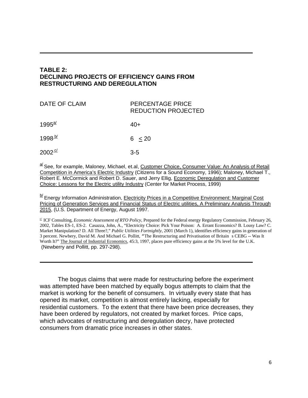#### **TABLE 2: DECLINING PROJECTS OF EFFICIENCY GAINS FROM RESTRUCTURING AND DEREGULATION**

**\_\_\_\_\_\_\_\_\_\_\_\_\_\_\_\_\_\_\_\_\_\_\_\_\_\_\_\_\_\_\_\_\_\_\_\_\_\_\_\_\_\_\_\_\_\_\_\_\_\_\_\_\_\_\_\_\_\_\_\_\_\_\_**

| DATE OF CLAIM        | PERCENTAGE PRICE<br><b>REDUCTION PROJECTED</b> |
|----------------------|------------------------------------------------|
| $1995^{\frac{al}{}}$ | $40+$                                          |
| $1998^{\frac{b}{2}}$ | 6 < 20                                         |
| $2002^{\frac{c}{c}}$ | $3-5$                                          |

a/ See, for example, Maloney, Michael, et.al, Customer Choice, Consumer Value: An Analysis of Retail Competition in America's Electric Industry (Citizens for a Sound Economy, 1996); Maloney, Michael T., Robert E. McCormick and Robert D. Sauer, and Jerry Ellig, Economic Deregulation and Customer Choice: Lessons for the Electric utility Industry (Center for Market Process, 1999)

**b**<sup>1</sup> Energy Information Administration, Electricity Prices in a Competitive Environment: Marginal Cost Pricing of Generation Services and Financial Status of Electric utilities, A Preliminary Analysis Through 2015, (U.S. Department of Energy, August 1997.

 $\leq$  ICF Consulting, *Economic Assessment of RTO Policy*, Prepared for the Federal energy Regulatory Commission, February 26, 2002, Tables ES-1, ES-2. Casazza, John, A., "Electricity Choice: Pick Your Poison: A. Errant Economics? B. Lousy Law? C. Market Manipulation? D. All Three?," *Public Utilities Fortnightly*, 2001 (March 1), identifies efficiency gains in generation of 3 percent. Newbery, David M. And Michael G. Pollitt, "The Restructuring and Privatisation of Britain s CEBG -- Was It Worth It?" The Journal of Industrial Economics, 45:3, 1997, places pure efficiency gains at the 5% level for the U.K. (Newberry and Pollitt, pp. 297-298).

The bogus claims that were made for restructuring before the experiment was attempted have been matched by equally bogus attempts to claim that the market is working for the benefit of consumers. In virtually every state that has opened its market, competition is almost entirely lacking, especially for residential customers. To the extent that there have been price decreases, they have been ordered by regulators, not created by market forces. Price caps, which advocates of restructuring and deregulation decry, have protected consumers from dramatic price increases in other states.

**\_\_\_\_\_\_\_\_\_\_\_\_\_\_\_\_\_\_\_\_\_\_\_\_\_\_\_\_\_\_\_\_\_\_\_\_\_\_\_\_\_\_\_\_\_\_\_\_\_\_\_\_\_\_\_\_\_\_\_\_\_\_\_**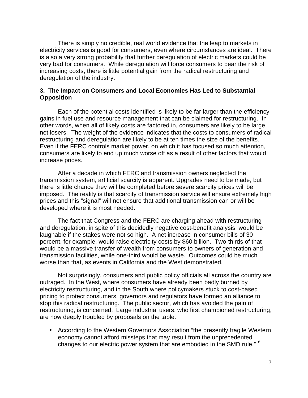There is simply no credible, real world evidence that the leap to markets in electricity services is good for consumers, even where circumstances are ideal. There is also a very strong probability that further deregulation of electric markets could be very bad for consumers. While deregulation will force consumers to bear the risk of increasing costs, there is little potential gain from the radical restructuring and deregulation of the industry.

#### **3. The Impact on Consumers and Local Economies Has Led to Substantial Opposition**

Each of the potential costs identified is likely to be far larger than the efficiency gains in fuel use and resource management that can be claimed for restructuring. In other words, when all of likely costs are factored in, consumers are likely to be large net losers. The weight of the evidence indicates that the costs to consumers of radical restructuring and deregulation are likely to be at ten times the size of the benefits. Even if the FERC controls market power, on which it has focused so much attention, consumers are likely to end up much worse off as a result of other factors that would increase prices.

After a decade in which FERC and transmission owners neglected the transmission system, artificial scarcity is apparent. Upgrades need to be made, but there is little chance they will be completed before severe scarcity prices will be imposed. The reality is that scarcity of transmission service will ensure extremely high prices and this "signal" will not ensure that additional transmission can or will be developed where it is most needed.

The fact that Congress and the FERC are charging ahead with restructuring and deregulation, in spite of this decidedly negative cost-benefit analysis, would be laughable if the stakes were not so high. A net increase in consumer bills of 30 percent, for example, would raise electricity costs by \$60 billion. Two-thirds of that would be a massive transfer of wealth from consumers to owners of generation and transmission facilities, while one-third would be waste. Outcomes could be much worse than that, as events in California and the West demonstrated.

Not surprisingly, consumers and public policy officials all across the country are outraged. In the West, where consumers have already been badly burned by electricity restructuring, and in the South where policymakers stuck to cost-based pricing to protect consumers, governors and regulators have formed an alliance to stop this radical restructuring. The public sector, which has avoided the pain of restructuring, is concerned. Large industrial users, who first championed restructuring, are now deeply troubled by proposals on the table.

• According to the Western Governors Association "the presently fragile Western economy cannot afford missteps that may result from the unprecedented changes to our electric power system that are embodied in the SMD rule."<sup>18</sup>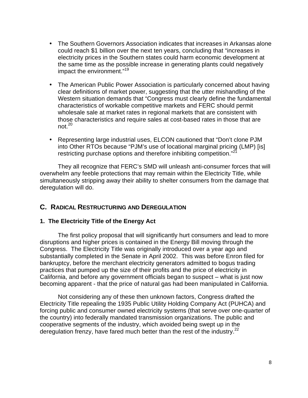- The Southern Governors Association indicates that increases in Arkansas alone could reach \$1 billion over the next ten years, concluding that "increases in electricity prices in the Southern states could harm economic development at the same time as the possible increase in generating plants could negatively impact the environment."<sup>19</sup>
- The American Public Power Association is particularly concerned about having clear definitions of market power, suggesting that the utter mishandling of the Western situation demands that "Congress must clearly define the fundamental characteristics of workable competitive markets and FERC should permit wholesale sale at market rates in regional markets that are consistent with those characteristics and require sales at cost-based rates in those that are not. $20$
- Representing large industrial uses, ELCON cautioned that "Don't clone PJM into Other RTOs because "PJM's use of locational marginal pricing (LMP) [is] restricting purchase options and therefore inhibiting competition."<sup>21</sup>

They all recognize that FERC's SMD will unleash anti-consumer forces that will overwhelm any feeble protections that may remain within the Electricity Title, while simultaneously stripping away their ability to shelter consumers from the damage that deregulation will do.

# **C. RADICAL RESTRUCTURING AND DEREGULATION**

#### **1. The Electricity Title of the Energy Act**

The first policy proposal that will significantly hurt consumers and lead to more disruptions and higher prices is contained in the Energy Bill moving through the Congress. The Electricity Title was originally introduced over a year ago and substantially completed in the Senate in April 2002. This was before Enron filed for bankruptcy, before the merchant electricity generators admitted to bogus trading practices that pumped up the size of their profits and the price of electricity in California, and before any government officials began to suspect – what is just now becoming apparent - that the price of natural gas had been manipulated in California.

Not considering any of these then unknown factors, Congress drafted the Electricity Title repealing the 1935 Public Utility Holding Company Act (PUHCA) and forcing public and consumer owned electricity systems (that serve over one-quarter of the country) into federally mandated transmission organizations. The public and cooperative segments of the industry, which avoided being swept up in the deregulation frenzy, have fared much better than the rest of the industry. $^{22}$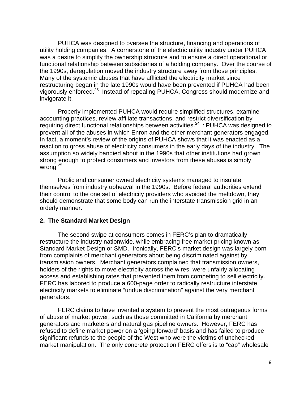PUHCA was designed to oversee the structure, financing and operations of utility holding companies. A cornerstone of the electric utility industry under PUHCA was a desire to simplify the ownership structure and to ensure a direct operational or functional relationship between subsidiaries of a holding company. Over the course of the 1990s, deregulation moved the industry structure away from those principles. Many of the systemic abuses that have afflicted the electricity market since restructuring began in the late 1990s would have been prevented if PUHCA had been vigorously enforced.<sup>23</sup> Instead of repealing PUHCA, Congress should modernize and invigorate it.

Properly implemented PUHCA would require simplified structures, examine accounting practices, review affiliate transactions, and restrict diversification by requiring direct functional relationships between activities.<sup>24</sup> : PUHCA was designed to prevent all of the abuses in which Enron and the other merchant generators engaged. In fact, a moment's review of the origins of PUHCA shows that it was enacted as a reaction to gross abuse of electricity consumers in the early days of the industry. The assumption so widely bandied about in the 1990s that other institutions had grown strong enough to protect consumers and investors from these abuses is simply wrong. $25$ 

Public and consumer owned electricity systems managed to insulate themselves from industry upheaval in the 1990s. Before federal authorities extend their control to the one set of electricity providers who avoided the meltdown, they should demonstrate that some body can run the interstate transmission grid in an orderly manner.

#### **2. The Standard Market Design**

The second swipe at consumers comes in FERC's plan to dramatically restructure the industry nationwide, while embracing free market pricing known as Standard Market Design or SMD. Ironically, FERC's market design was largely born from complaints of merchant generators about being discriminated against by transmission owners. Merchant generators complained that transmission owners, holders of the rights to move electricity across the wires, were unfairly allocating access and establishing rates that prevented them from competing to sell electricity. FERC has labored to produce a 600-page order to radically restructure interstate electricity markets to eliminate "undue discrimination" against the very merchant generators.

FERC claims to have invented a system to prevent the most outrageous forms of abuse of market power, such as those committed in California by merchant generators and marketers and natural gas pipeline owners. However, FERC has refused to define market power on a 'going forward' basis and has failed to produce significant refunds to the people of the West who were the victims of unchecked market manipulation. The only concrete protection FERC offers is to "cap" wholesale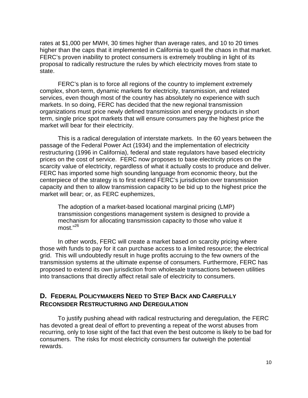rates at \$1,000 per MWH, 30 times higher than average rates, and 10 to 20 times higher than the caps that it implemented in California to quell the chaos in that market. FERC's proven inability to protect consumers is extremely troubling in light of its proposal to radically restructure the rules by which electricity moves from state to state.

FERC's plan is to force all regions of the country to implement extremely complex, short-term, dynamic markets for electricity, transmission, and related services, even though most of the country has absolutely no experience with such markets. In so doing, FERC has decided that the new regional transmission organizations must price newly defined transmission and energy products in short term, single price spot markets that will ensure consumers pay the highest price the market will bear for their electricity.

This is a radical deregulation of interstate markets. In the 60 years between the passage of the Federal Power Act (1934) and the implementation of electricity restructuring (1996 in California), federal and state regulators have based electricity prices on the cost of service. FERC now proposes to base electricity prices on the scarcity value of electricity, regardless of what it actually costs to produce and deliver. FERC has imported some high sounding language from economic theory, but the centerpiece of the strategy is to first extend FERC's jurisdiction over transmission capacity and then to allow transmission capacity to be bid up to the highest price the market will bear; or, as FERC euphemizes,

The adoption of a market-based locational marginal pricing (LMP) transmission congestions management system is designed to provide a mechanism for allocating transmission capacity to those who value it most."<sup>26</sup>

In other words, FERC will create a market based on scarcity pricing where those with funds to pay for it can purchase access to a limited resource; the electrical grid. This will undoubtedly result in huge profits accruing to the few owners of the transmission systems at the ultimate expense of consumers. Furthermore, FERC has proposed to extend its own jurisdiction from wholesale transactions between utilities into transactions that directly affect retail sale of electricity to consumers.

# **D. FEDERAL POLICYMAKERS NEED TO STEP BACK AND CAREFULLY RECONSIDER RESTRUCTURING AND DEREGULATION**

To justify pushing ahead with radical restructuring and deregulation, the FERC has devoted a great deal of effort to preventing a repeat of the worst abuses from recurring, only to lose sight of the fact that even the best outcome is likely to be bad for consumers. The risks for most electricity consumers far outweigh the potential rewards.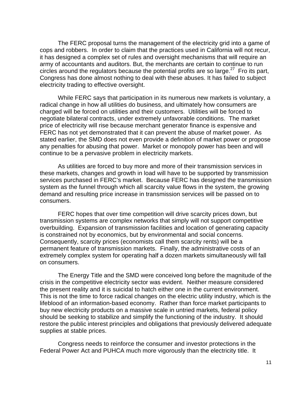The FERC proposal turns the management of the electricity grid into a game of cops and robbers. In order to claim that the practices used in California will not recur, it has designed a complex set of rules and oversight mechanisms that will require an army of accountants and auditors. But, the merchants are certain to continue to run circles around the regulators because the potential profits are so large.<sup>27</sup> Fro its part, Congress has done almost nothing to deal with these abuses. It has failed to subject electricity trading to effective oversight.

While FERC says that participation in its numerous new markets is voluntary, a radical change in how all utilities do business, and ultimately how consumers are charged will be forced on utilities and their customers. Utilities will be forced to negotiate bilateral contracts, under extremely unfavorable conditions. The market price of electricity will rise because merchant generator finance is expensive and FERC has not yet demonstrated that it can prevent the abuse of market power. As stated earlier, the SMD does not even provide a definition of market power or propose any penalties for abusing that power. Market or monopoly power has been and will continue to be a pervasive problem in electricity markets.

As utilities are forced to buy more and more of their transmission services in these markets, changes and growth in load will have to be supported by transmission services purchased in FERC's market. Because FERC has designed the transmission system as the funnel through which all scarcity value flows in the system, the growing demand and resulting price increase in transmission services will be passed on to consumers.

FERC hopes that over time competition will drive scarcity prices down, but transmission systems are complex networks that simply will not support competitive overbuilding. Expansion of transmission facilities and location of generating capacity is constrained not by economics, but by environmental and social concerns. Consequently, scarcity prices (economists call them scarcity rents) will be a permanent feature of transmission markets. Finally, the administrative costs of an extremely complex system for operating half a dozen markets simultaneously will fall on consumers.

The Energy Title and the SMD were conceived long before the magnitude of the crisis in the competitive electricity sector was evident. Neither measure considered the present reality and it is suicidal to hatch either one in the current environment. This is not the time to force radical changes on the electric utility industry, which is the lifeblood of an information-based economy. Rather than force market participants to buy new electricity products on a massive scale in untried markets, federal policy should be seeking to stabilize and simplify the functioning of the industry. It should restore the public interest principles and obligations that previously delivered adequate supplies at stable prices.

Congress needs to reinforce the consumer and investor protections in the Federal Power Act and PUHCA much more vigorously than the electricity title. It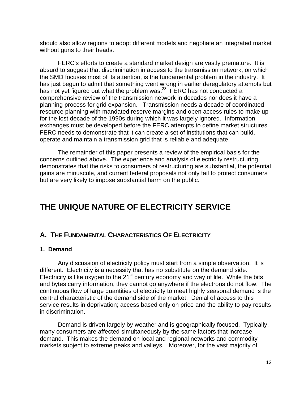should also allow regions to adopt different models and negotiate an integrated market without guns to their heads.

FERC's efforts to create a standard market design are vastly premature. It is absurd to suggest that discrimination in access to the transmission network, on which the SMD focuses most of its attention, is the fundamental problem in the industry. It has just begun to admit that something went wrong in earlier deregulatory attempts but has not yet figured out what the problem was.<sup>28</sup> FERC has not conducted a comprehensive review of the transmission network in decades nor does it have a planning process for grid expansion. Transmission needs a decade of coordinated resource planning with mandated reserve margins and open access rules to make up for the lost decade of the 1990s during which it was largely ignored. Information exchanges must be developed before the FERC attempts to define market structures. FERC needs to demonstrate that it can create a set of institutions that can build, operate and maintain a transmission grid that is reliable and adequate.

The remainder of this paper presents a review of the empirical basis for the concerns outlined above. The experience and analysis of electricity restructuring demonstrates that the risks to consumers of restructuring are substantial, the potential gains are minuscule, and current federal proposals not only fail to protect consumers but are very likely to impose substantial harm on the public.

# **THE UNIQUE NATURE OF ELECTRICITY SERVICE**

# **A. THE FUNDAMENTAL CHARACTERISTICS OF ELECTRICITY**

#### **1. Demand**

Any discussion of electricity policy must start from a simple observation. It is different. Electricity is a necessity that has no substitute on the demand side. Electricity is like oxygen to the  $21^{st}$  century economy and way of life. While the bits and bytes carry information, they cannot go anywhere if the electrons do not flow. The continuous flow of large quantities of electricity to meet highly seasonal demand is the central characteristic of the demand side of the market. Denial of access to this service results in deprivation; access based only on price and the ability to pay results in discrimination.

Demand is driven largely by weather and is geographically focused. Typically, many consumers are affected simultaneously by the same factors that increase demand. This makes the demand on local and regional networks and commodity markets subject to extreme peaks and valleys. Moreover, for the vast majority of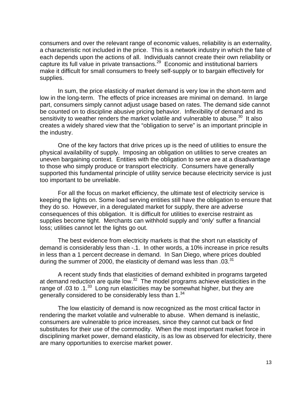consumers and over the relevant range of economic values, reliability is an externality, a characteristic not included in the price. This is a network industry in which the fate of each depends upon the actions of all. Individuals cannot create their own reliability or capture its full value in private transactions.<sup>29</sup> Economic and institutional barriers make it difficult for small consumers to freely self-supply or to bargain effectively for supplies.

In sum, the price elasticity of market demand is very low in the short-term and low in the long-term. The effects of price increases are minimal on demand. In large part, consumers simply cannot adjust usage based on rates. The demand side cannot be counted on to discipline abusive pricing behavior. Inflexibility of demand and its sensitivity to weather renders the market volatile and vulnerable to abuse.<sup>30</sup> It also creates a widely shared view that the "obligation to serve" is an important principle in the industry.

One of the key factors that drive prices up is the need of utilities to ensure the physical availability of supply. Imposing an obligation on utilities to serve creates an uneven bargaining context. Entities with the obligation to serve are at a disadvantage to those who simply produce or transport electricity. Consumers have generally supported this fundamental principle of utility service because electricity service is just too important to be unreliable.

For all the focus on market efficiency, the ultimate test of electricity service is keeping the lights on. Some load serving entities still have the obligation to ensure that they do so. However, in a deregulated market for supply, there are adverse consequences of this obligation. It is difficult for utilities to exercise restraint as supplies become tight. Merchants can withhold supply and 'only' suffer a financial loss; utilities cannot let the lights go out.

The best evidence from electricity markets is that the short run elasticity of demand is considerably less than -.1. In other words, a 10% increase in price results in less than a 1 percent decrease in demand. In San Diego, where prices doubled during the summer of 2000, the elasticity of demand was less than  $.03^{31}$ 

A recent study finds that elasticities of demand exhibited in programs targeted at demand reduction are quite low. $32$  The model programs achieve elasticities in the range of .03 to .1. $^{33}$  Long run elasticities may be somewhat higher, but they are generally considered to be considerably less than  $1.^{34}$ 

The low elasticity of demand is now recognized as the most critical factor in rendering the market volatile and vulnerable to abuse. When demand is inelastic, consumers are vulnerable to price increases, since they cannot cut back or find substitutes for their use of the commodity. When the most important market force in disciplining market power, demand elasticity, is as low as observed for electricity, there are many opportunities to exercise market power.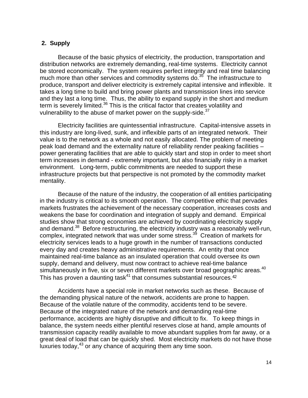#### **2. Supply**

Because of the basic physics of electricity, the production, transportation and distribution networks are extremely demanding, real-time systems. Electricity cannot be stored economically. The system requires perfect integrity and real time balancing much more than other services and commodity systems  $d\overline{o}$ .<sup>35</sup> The infrastructure to produce, transport and deliver electricity is extremely capital intensive and inflexible. It takes a long time to build and bring power plants and transmission lines into service and they last a long time. Thus, the ability to expand supply in the short and medium term is severely limited.<sup>36</sup> This is the critical factor that creates volatility and vulnerability to the abuse of market power on the supply-side. $37$ 

Electricity facilities are quintessential infrastructure. Capital-intensive assets in this industry are long-lived, sunk, and inflexible parts of an integrated network. Their value is to the network as a whole and not easily allocated. The problem of meeting peak load demand and the externality nature of reliability render peaking facilities – power generating facilities that are able to quickly start and stop in order to meet short term increases in demand - extremely important, but also financially risky in a market environment. Long-term, public commitments are needed to support these infrastructure projects but that perspective is not promoted by the commodity market mentality.

Because of the nature of the industry, the cooperation of all entities participating in the industry is critical to its smooth operation. The competitive ethic that pervades markets frustrates the achievement of the necessary cooperation, increases costs and weakens the base for coordination and integration of supply and demand. Empirical studies show that strong economies are achieved by coordinating electricity supply and demand.<sup>38</sup> Before restructuring, the electricity industry was a reasonably well-run, complex, integrated network that was under some stress.<sup>39</sup> Creation of markets for electricity services leads to a huge growth in the number of transactions conducted every day and creates heavy administrative requirements. An entity that once maintained real-time balance as an insulated operation that could oversee its own supply, demand and delivery, must now contract to achieve real-time balance simultaneously in five, six or seven different markets over broad geographic areas. $40$ This has proven a daunting task $41$  that consumes substantial resources. $42$ 

Accidents have a special role in market networks such as these. Because of the demanding physical nature of the network, accidents are prone to happen. Because of the volatile nature of the commodity, accidents tend to be severe. Because of the integrated nature of the network and demanding real-time performance, accidents are highly disruptive and difficult to fix. To keep things in balance, the system needs either plentiful reserves close at hand, ample amounts of transmission capacity readily available to move abundant supplies from far away, or a great deal of load that can be quickly shed. Most electricity markets do not have those luxuries today,<sup>43</sup> or any chance of acquiring them any time soon.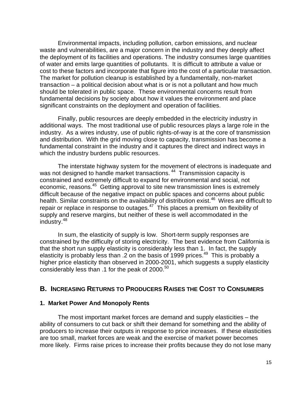Environmental impacts, including pollution, carbon emissions, and nuclear waste and vulnerabilities, are a major concern in the industry and they deeply affect the deployment of its facilities and operations. The industry consumes large quantities of water and emits large quantities of pollutants. It is difficult to attribute a value or cost to these factors and incorporate that figure into the cost of a particular transaction. The market for pollution cleanup is established by a fundamentally, non-market transaction – a political decision about what is or is not a pollutant and how much should be tolerated in public space. These environmental concerns result from fundamental decisions by society about how it values the environment and place significant constraints on the deployment and operation of facilities.

Finally, public resources are deeply embedded in the electricity industry in additional ways. The most traditional use of public resources plays a large role in the industry. As a wires industry, use of public rights-of-way is at the core of transmission and distribution. With the grid moving close to capacity, transmission has become a fundamental constraint in the industry and it captures the direct and indirect ways in which the industry burdens public resources.

The interstate highway system for the movement of electrons is inadequate and was not designed to handle market transactions.<sup>44</sup> Transmission capacity is constrained and extremely difficult to expand for environmental and social, not economic, reasons.<sup>45</sup> Getting approval to site new transmission lines is extremely difficult because of the negative impact on public spaces and concerns about public health. Similar constraints on the availability of distribution exist.<sup>46</sup> Wires are difficult to repair or replace in response to outages. $47$  This places a premium on flexibility of supply and reserve margins, but neither of these is well accommodated in the industry.<sup>48</sup>

In sum, the elasticity of supply is low. Short-term supply responses are constrained by the difficulty of storing electricity. The best evidence from California is that the short run supply elasticity is considerably less than 1. In fact, the supply elasticity is probably less than .2 on the basis of 1999 prices.<sup>49</sup> This is probably a higher price elasticity than observed in 2000-2001, which suggests a supply elasticity considerably less than .1 for the peak of 2000.<sup>50</sup>

#### **B. INCREASING RETURNS TO PRODUCERS RAISES THE COST TO CONSUMERS**

#### **1. Market Power And Monopoly Rents**

The most important market forces are demand and supply elasticities – the ability of consumers to cut back or shift their demand for something and the ability of producers to increase their outputs in response to price increases. If these elasticities are too small, market forces are weak and the exercise of market power becomes more likely. Firms raise prices to increase their profits because they do not lose many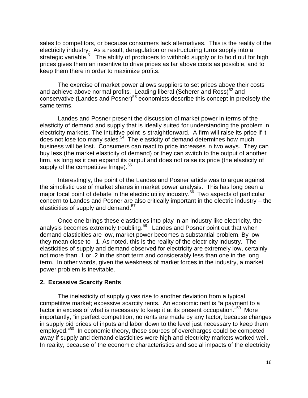sales to competitors, or because consumers lack alternatives. This is the reality of the electricity industry. As a result, deregulation or restructuring turns supply into a strategic variable.<sup>51</sup> The ability of producers to withhold supply or to hold out for high prices gives them an incentive to drive prices as far above costs as possible, and to keep them there in order to maximize profits.

The exercise of market power allows suppliers to set prices above their costs and achieve above normal profits. Leading liberal (Scherer and Ross) $52$  and conservative (Landes and Posner)<sup>53</sup> economists describe this concept in precisely the same terms.

Landes and Posner present the discussion of market power in terms of the elasticity of demand and supply that is ideally suited for understanding the problem in electricity markets. The intuitive point is straightforward. A firm will raise its price if it does not lose too many sales.<sup>54</sup> The elasticity of demand determines how much business will be lost. Consumers can react to price increases in two ways. They can buy less (the market elasticity of demand) or they can switch to the output of another firm, as long as it can expand its output and does not raise its price (the elasticity of supply of the competitive fringe). $55$ 

Interestingly, the point of the Landes and Posner article was to argue against the simplistic use of market shares in market power analysis. This has long been a major focal point of debate in the electric utility industry.<sup>56</sup> Two aspects of particular concern to Landes and Posner are also critically important in the electric industry – the elasticities of supply and demand.<sup>57</sup>

Once one brings these elasticities into play in an industry like electricity, the analysis becomes extremely troubling.<sup>58</sup> Landes and Posner point out that when demand elasticities are low, market power becomes a substantial problem. By low they mean close to –1. As noted, this is the reality of the electricity industry. The elasticities of supply and demand observed for electricity are extremely low, certainly not more than .1 or .2 in the short term and considerably less than one in the long term. In other words, given the weakness of market forces in the industry, a market power problem is inevitable.

#### **2. Excessive Scarcity Rents**

The inelasticity of supply gives rise to another deviation from a typical competitive market; excessive scarcity rents. An economic rent is "a payment to a factor in excess of what is necessary to keep it at its present occupation."<sup>59</sup> More importantly, "in perfect competition, no rents are made by any factor, because changes in supply bid prices of inputs and labor down to the level just necessary to keep them employed."<sup>60</sup> In economic theory, these sources of overcharges could be competed away if supply and demand elasticities were high and electricity markets worked well. In reality, because of the economic characteristics and social impacts of the electricity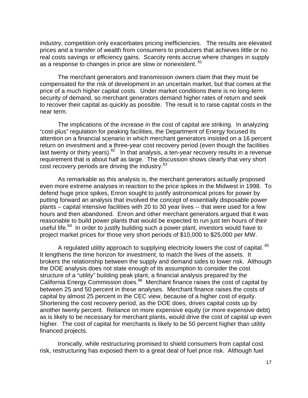industry, competition only exacerbates pricing inefficiencies. The results are elevated prices and a transfer of wealth from consumers to producers that achieves little or no real costs savings or efficiency gains. Scarcity rents accrue where changes in supply as a response to changes in price are slow or nonexistent. <sup>61</sup>

The merchant generators and transmission owners claim that they must be compensated for the risk of development in an uncertain market, but that comes at the price of a much higher capital costs. Under market conditions there is no long-term security of demand, so merchant generators demand higher rates of return and seek to recover their capital as quickly as possible. The result is to raise capital costs in the near term.

The implications of the increase in the cost of capital are striking. In analyzing "cost-plus" regulation for peaking facilities, the Department of Energy focused its attention on a financial scenario in which merchant generators insisted on a 16 percent return on investment and a three-year cost recovery period (even though the facilities last twenty or thirty years). $62$  In that analysis, a ten-year recovery results in a revenue requirement that is about half as large. The discussion shows clearly that very short cost recovery periods are driving the industry.<sup>63</sup>

As remarkable as this analysis is, the merchant generators actually proposed even more extreme analyses in reaction to the price spikes in the Midwest in 1998. To defend huge price spikes, Enron sought to justify astronomical prices for power by putting forward an analysis that involved the concept of essentially disposable power plants – capital intensive facilities with 20 to 30 year lives -- that were used for a few hours and then abandoned. Enron and other merchant generators argued that it was reasonable to build power plants that would be expected to run just ten hours of their useful life.<sup>64</sup> In order to justify building such a power plant, investors would have to project market prices for those very short periods of \$10,000 to \$25,000 per MW.

A regulated utility approach to supplying electricity lowers the cost of capital.  $65$ It lengthens the time horizon for investment, to match the lives of the assets. It brokers the relationship between the supply and demand sides to lower risk. Although the DOE analysis does not state enough of its assumption to consider the cost structure of a "utility" building peak plant, a financial analysis prepared by the California Energy Commission does.<sup>66</sup> Merchant finance raises the cost of capital by between 25 and 50 percent in these analyses. Merchant finance raises the costs of capital by almost 25 percent in the CEC view, because of a higher cost of equity. Shortening the cost recovery period, as the DOE does, drives capital costs up by another twenty percent. Reliance on more expensive equity (or more expensive debt) as is likely to be necessary for merchant plants, would drive the cost of capital up even higher. The cost of capital for merchants is likely to be 50 percent higher than utility financed projects.

Ironically, while restructuring promised to shield consumers from capital cost risk, restructuring has exposed them to a great deal of fuel price risk. Although fuel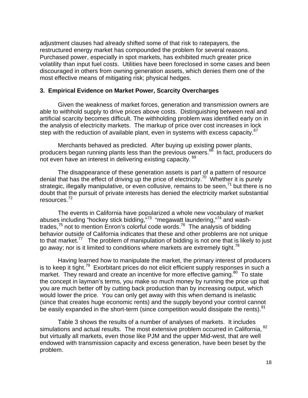adjustment clauses had already shifted some of that risk to ratepayers, the restructured energy market has compounded the problem for several reasons. Purchased power, especially in spot markets, has exhibited much greater price volatility than input fuel costs. Utilities have been foreclosed in some cases and been discouraged in others from owning generation assets, which denies them one of the most effective means of mitigating risk; physical hedges.

#### **3. Empirical Evidence on Market Power, Scarcity Overcharges**

Given the weakness of market forces, generation and transmission owners are able to withhold supply to drive prices above costs. Distinguishing between real and artificial scarcity becomes difficult. The withholding problem was identified early on in the analysis of electricity markets. The markup of price over cost increases in lock step with the reduction of available plant, even in systems with excess capacity.<sup>67</sup>

Merchants behaved as predicted. After buying up existing power plants, producers began running plants less than the previous owners.<sup>68</sup> In fact, producers do not even have an interest in delivering existing capacity. <sup>69</sup>

The disappearance of these generation assets is part of a pattern of resource denial that has the effect of driving up the price of electricity.<sup>70</sup> Whether it is purely strategic, illegally manipulative, or even collusive, remains to be seen,<sup>71</sup> but there is no doubt that the pursuit of private interests has denied the electricity market substantial resources.<sup>72</sup>

The events in California have popularized a whole new vocabulary of market abuses including "hockey stick bidding,"<sup>73</sup> "megawatt laundering,"<sup>74</sup> and washtrades,<sup>75</sup> not to mention Enron's colorful code words.<sup>76</sup> The analysis of bidding behavior outside of California indicates that these and other problems are not unique to that market.<sup>77</sup> The problem of manipulation of bidding is not one that is likely to just go away; nor is it limited to conditions where markets are extremely tight.<sup>78</sup>

Having learned how to manipulate the market, the primary interest of producers is to keep it tight.<sup>79</sup> Exorbitant prices do not elicit efficient supply responses in such a market. They reward and create an incentive for more effective gaming.<sup>80</sup> To state the concept in layman's terms, you make so much money by running the price up that you are much better off by cutting back production than by increasing output, which would lower the price. You can only get away with this when demand is inelastic (since that creates huge economic rents) and the supply beyond your control cannot be easily expanded in the short-term (since competition would dissipate the rents).<sup>81</sup>

Table 3 shows the results of a number of analyses of markets. It includes simulations and actual results. The most extensive problem occurred in California, 82 but virtually all markets, even those like PJM and the upper Mid-west, that are well endowed with transmission capacity and excess generation, have been beset by the problem.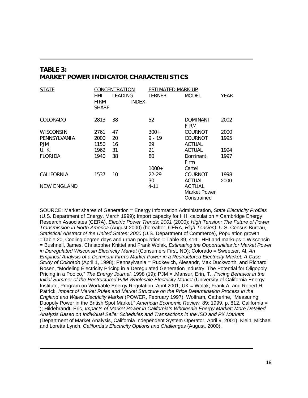# **TABLE 3: MARKET POWER INDICATOR CHARACTERISTICS**

| STATE              | CONCENTRATION      |                         | ESTIMATED MARK-UP |                                    |      |
|--------------------|--------------------|-------------------------|-------------------|------------------------------------|------|
|                    | HHI<br><b>FIRM</b> | LEADING<br><b>INDEX</b> | LERNER            | <b>MODEL</b>                       | YEAR |
|                    | <b>SHARE</b>       |                         |                   |                                    |      |
| COLORADO           | 2813               | 38                      | 52                | DOMINANT<br><b>FIRM</b>            | 2002 |
| <b>WISCONSIN</b>   | 2761               | 47                      | $300+$            | COURNOT                            | 2000 |
| PENNSYLVANIA       | 2000               | 20                      | $9 - 19$          | COURNOT                            | 1995 |
| <b>PJM</b>         | 1150               | 16                      | 29                | <b>ACTUAL</b>                      |      |
| U.K.               | 1962               | 31                      | 21                | <b>ACTUAL</b>                      | 1994 |
| <b>FLORIDA</b>     | 1940               | 38                      | 80                | Dominant                           | 1997 |
|                    |                    |                         | $1000+$           | Firm<br>Cartel                     |      |
| CALIFORNIA         | 1537               | 10                      | $22 - 29$         | COURNOT                            | 1998 |
| <b>NEW ENGLAND</b> |                    |                         | 30<br>$4 - 11$    | <b>ACTUAL</b><br><b>ACTUAL</b>     | 2000 |
|                    |                    |                         |                   | <b>Market Power</b><br>Constrained |      |

**\_\_\_\_\_\_\_\_\_\_\_\_\_\_\_\_\_\_\_\_\_\_\_\_\_\_\_\_\_\_\_\_\_\_\_\_\_\_\_\_\_\_\_\_\_\_\_\_\_\_\_\_\_\_\_\_\_\_\_\_\_\_\_**

SOURCE: Market shares of Generation = Energy Information Administration, *State Electricity Profiles*  (U.S. Department of Energy, March 1999); Import capacity for HHI calculation = Cambridge Energy Research Associates (CERA), *Electric Power Trends: 2001* (2000); *High Tension: The Future of Power Transmission in North America* (August 2000) (hereafter, CERA, *High Tension)*; U.S. Census Bureau, *Statistical Abstract of the United States: 2000* (U.S. Department of Commerce), Population growth =Table 20, Cooling degree days and urban population = Table 39, 414: HHI and markups = Wisconsin = Bushnell, James, Christopher Knittel and Frank Wolak, *Estimating the Opportunities for Market Power in Deregulated Wisconsin Electricity Market* (Consumers First, ND); Colorado = Sweetser, Al, *An Empirical Analysis of a Dominant Firm's Market Power in a Restructured Electricity Market: A Case Study of Colorado* (April 1, 1998); Pennsylvania = Rudkevich, Alesandr, Max Duckworth, and Richard Rosen, "Modeling Electricity Pricing in a Deregulated Generation Industry: The Potential for Oligopoly Pricing in a Poolco," *The Energy Journal,* 1998 (19); PJM = .Mansur, Erin, T., *Pricing Behavior in the*  Initial Summer of the Restructured PJM Wholesale Electricity Market (University of California Energy Institute, Program on Workable Energy Regulation, April 2001; UK = Wolak, Frank A. and Robert H. Patrick, *Impact of Market Rules and Market Structure on the Price Determination Process in the England and Wales Electricity Market* (POWER, February 1997), Wolfram, Catherine, "Measuring Duopoly Power in the British Spot Market," *American Economic Review,* 89: 1999, p. 812, California = );.Hildebrandt, Eric, *Impacts of Market Power in California's Wholesale Energy Market: More Detailed Analysis Based on Individual Seller Schedules and Transactions in the ISO and PX Markets*  (Department of Market Analysis, California Independent System Operator, April 9, 2001), Klein, Michael and Loretta Lynch, *California's Electricity Options and Challenges* (August, 2000).

**\_\_\_\_\_\_\_\_\_\_\_\_\_\_\_\_\_\_\_\_\_\_\_\_\_\_\_\_\_\_\_\_\_\_\_\_\_\_\_\_\_\_\_\_\_\_\_\_\_\_\_\_\_\_\_\_\_\_\_\_\_\_\_**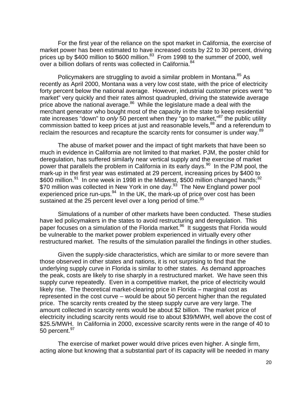For the first year of the reliance on the spot market in California, the exercise of market power has been estimated to have increased costs by 22 to 30 percent, driving prices up by \$400 million to \$600 million.<sup>83</sup> From 1998 to the summer of 2000, well over a billion dollars of rents was collected in California.<sup>84</sup>

Policymakers are struggling to avoid a similar problem in Montana.<sup>85</sup> As recently as April 2000, Montana was a very low cost state, with the price of electricity forty percent below the national average. However, industrial customer prices went "to market" very quickly and their rates almost quadrupled, driving the statewide average price above the national average.<sup>86</sup> While the legislature made a deal with the merchant generator who bought most of the capacity in the state to keep residential rate increases "down" to *only* 50 percent when they "go to market,"<sup>87</sup> the public utility commission batted to keep prices at just and reasonable levels,<sup>88</sup> and a referendum to reclaim the resources and recapture the scarcity rents for consumer is under way.<sup>89</sup>

The abuse of market power and the impact of tight markets that have been so much in evidence in California are not limited to that market. PJM, the poster child for deregulation, has suffered similarly near vertical supply and the exercise of market power that parallels the problem in California in its early days.<sup>90</sup> In the PJM pool, the mark-up in the first year was estimated at 29 percent, increasing prices by \$400 to \$600 million.<sup>91</sup> In one week in 1998 in the Midwest, \$500 million changed hands;<sup>92</sup>  $$70$  million was collected in New York in one day.<sup>93</sup> The New England power pool experienced price run-ups. $94$  In the UK, the mark-up of price over cost has been sustained at the 25 percent level over a long period of time. $95$ 

Simulations of a number of other markets have been conducted. These studies have led policymakers in the states to avoid restructuring and deregulation. This paper focuses on a simulation of the Florida market.<sup>96</sup> It suggests that Florida would be vulnerable to the market power problem experienced in virtually every other restructured market. The results of the simulation parallel the findings in other studies.

Given the supply-side characteristics, which are similar to or more severe than those observed in other states and nations, it is not surprising to find that the underlying supply curve in Florida is similar to other states. As demand approaches the peak, costs are likely to rise sharply in a restructured market. We have seen this supply curve repeatedly. Even in a competitive market, the price of electricity would likely rise. The theoretical market-clearing price in Florida – marginal cost as represented in the cost curve – would be about 50 percent higher than the regulated price. The scarcity rents created by the steep supply curve are very large. The amount collected in scarcity rents would be about \$2 billion. The market price of electricity including scarcity rents would rise to about \$39/MWH, well above the cost of \$25.5/MWH. In California in 2000, excessive scarcity rents were in the range of 40 to 50 percent. $^{97}$ 

The exercise of market power would drive prices even higher. A single firm, acting alone but knowing that a substantial part of its capacity will be needed in many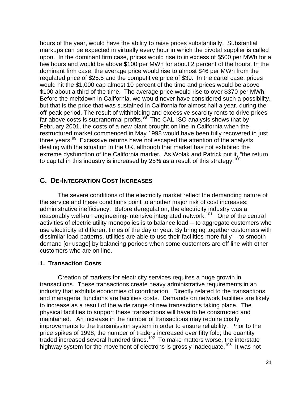hours of the year, would have the ability to raise prices substantially. Substantial markups can be expected in virtually every hour in which the pivotal supplier is called upon. In the dominant firm case, prices would rise to in excess of \$500 per MWh for a few hours and would be above \$100 per MWh for about 2 percent of the hours. In the dominant firm case, the average price would rise to almost \$46 per MWh from the regulated price of \$25.5 and the competitive price of \$39. In the cartel case, prices would hit the \$1,000 cap almost 10 percent of the time and prices would be above \$100 about a third of the time. The average price would rise to over \$370 per MWh. Before the meltdown in California, we would never have considered such a possibility, but that is the price that was sustained in California for almost half a year, during the off-peak period. The result of withholding and excessive scarcity rents to drive prices far above costs is supranormal profits.<sup>98</sup> The CAL-ISO analysis shows that by February 2001, the costs of a new plant brought on line in California when the restructured market commenced in May 1998 would have been fully recovered in just three years.<sup>99</sup> Excessive returns have not escaped the attention of the analysts dealing with the situation in the UK, although that market has not exhibited the extreme dysfunction of the California market. As Wolak and Patrick put it, "the return to capital in this industry is increased by 25% as a result of this strategy.<sup>100</sup>

### **C. DE-INTEGRATION COST INCREASES**

The severe conditions of the electricity market reflect the demanding nature of the service and these conditions point to another major risk of cost increases: administrative inefficiency. Before deregulation, the electricity industry was a reasonably well-run engineering-intensive integrated network.<sup>101</sup> One of the central activities of electric utility monopolies is to balance load -- to aggregate customers who use electricity at different times of the day or year. By bringing together customers with dissimilar load patterns, utilities are able to use their facilities more fully -- to smooth demand [or usage] by balancing periods when some customers are off line with other customers who are on line.

### **1. Transaction Costs**

Creation of markets for electricity services requires a huge growth in transactions. These transactions create heavy administrative requirements in an industry that exhibits economies of coordination. Directly related to the transactions and managerial functions are facilities costs. Demands on network facilities are likely to increase as a result of the wide range of new transactions taking place. The physical facilities to support these transactions will have to be constructed and maintained. An increase in the number of transactions may require costly improvements to the transmission system in order to ensure reliability. Prior to the price spikes of 1998, the number of traders increased over fifty fold; the quantity traded increased several hundred times.<sup>102</sup> To make matters worse, the interstate highway system for the movement of electrons is grossly inadequate.<sup>103</sup> It was not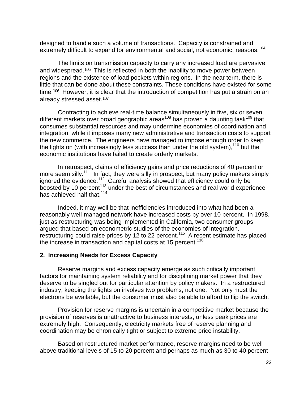designed to handle such a volume of transactions. Capacity is constrained and extremely difficult to expand for environmental and social, not economic, reasons.<sup>104</sup>

The limits on transmission capacity to carry any increased load are pervasive and widespread.105 This is reflected in both the inability to move power between regions and the existence of load pockets within regions. In the near term, there is little that can be done about these constraints. These conditions have existed for some time.106 However, it is clear that the introduction of competition has put a strain on an already stressed asset. $107$ 

Contracting to achieve real-time balance simultaneously in five, six or seven different markets over broad geographic areas<sup>108</sup> has proven a daunting task<sup>109</sup> that consumes substantial resources and may undermine economies of coordination and integration, while it imposes many new administrative and transaction costs to support the new commerce. The engineers have managed to impose enough order to keep the lights on (with increasingly less success than under the old system), $110$  but the economic institutions have failed to create orderly markets.

In retrospect, claims of efficiency gains and price reductions of 40 percent or more seem silly.<sup>111</sup> In fact, they were silly in prospect, but many policy makers simply ignored the evidence.<sup>112</sup> Careful analysis showed that efficiency could only be boosted by 10 percent<sup>113</sup> under the best of circumstances and real world experience has achieved half that.<sup>114</sup>

Indeed, it may well be that inefficiencies introduced into what had been a reasonably well-managed network have increased costs by over 10 percent. In 1998, just as restructuring was being implemented in California, two consumer groups argued that based on econometric studies of the economies of integration, restructuring could raise prices by 12 to 22 percent.<sup>115</sup> A recent estimate has placed the increase in transaction and capital costs at 15 percent.<sup>116</sup>

#### **2. Increasing Needs for Excess Capacity**

Reserve margins and excess capacity emerge as such critically important factors for maintaining system reliability and for disciplining market power that they deserve to be singled out for particular attention by policy makers. In a restructured industry, keeping the lights on involves two problems, not one. Not only must the electrons be available, but the consumer must also be able to afford to flip the switch.

Provision for reserve margins is uncertain in a competitive market because the provision of reserves is unattractive to business interests, unless peak prices are extremely high. Consequently, electricity markets free of reserve planning and coordination may be chronically tight or subject to extreme price instability.

Based on restructured market performance, reserve margins need to be well above traditional levels of 15 to 20 percent and perhaps as much as 30 to 40 percent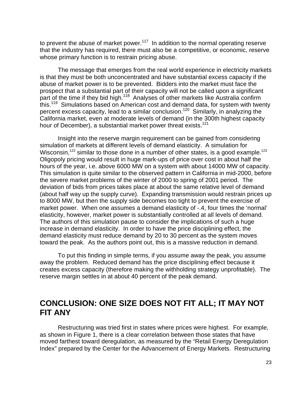to prevent the abuse of market power. $117$  In addition to the normal operating reserve that the industry has required, there must also be a competitive, or economic, reserve whose primary function is to restrain pricing abuse.

The message that emerges from the real world experience in electricity markets is that they must be both unconcentrated and have substantial excess capacity if the abuse of market power is to be prevented. Bidders into the market must face the prospect that a substantial part of their capacity will not be called upon a significant part of the time if they bid high.<sup>118</sup> Analyses of other markets like Australia confirm this.<sup>119</sup> Simulations based on American cost and demand data, for system with twenty percent excess capacity, lead to a similar conclusion.<sup>120</sup> Similarly, in analyzing the California market, even at moderate levels of demand (in the 300th highest capacity hour of December), a substantial market power threat exists.<sup>121</sup>

Insight into the reserve margin requirement can be gained from considering simulation of markets at different levels of demand elasticity. A simulation for Wisconsin,<sup>122</sup> similar to those done in a number of other states, is a good example.<sup>123</sup> Oligopoly pricing would result in huge mark-ups of price over cost in about half the hours of the year, i.e. above 6000 MW on a system with about 14000 MW of capacity. This simulation is quite similar to the observed pattern in California in mid-2000, before the severe market problems of the winter of 2000 to spring of 2001 period. The deviation of bids from prices takes place at about the same relative level of demand (about half way up the supply curve). Expanding transmission would restrain prices up to 8000 MW, but then the supply side becomes too tight to prevent the exercise of market power. When one assumes a demand elasticity of -.4, four times the 'normal' elasticity, however, market power is substantially controlled at all levels of demand. The authors of this simulation pause to consider the implications of such a huge increase in demand elasticity. In order to have the price disciplining effect, the demand elasticity must reduce demand by 20 to 30 percent as the system moves toward the peak. As the authors point out, this is a massive reduction in demand.

To put this finding in simple terms, if you assume away the peak, you assume away the problem. Reduced demand has the price disciplining effect because it creates excess capacity (therefore making the withholding strategy unprofitable). The reserve margin settles in at about 40 percent of the peak demand.

# **CONCLUSION: ONE SIZE DOES NOT FIT ALL; IT MAY NOT FIT ANY**

Restructuring was tried first in states where prices were highest. For example, as shown in Figure 1, there is a clear correlation between those states that have moved farthest toward deregulation, as measured by the "Retail Energy Deregulation Index" prepared by the Center for the Advancement of Energy Markets. Restructuring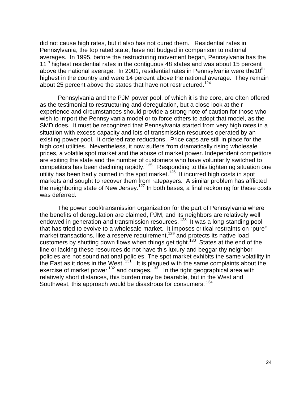did not cause high rates, but it also has not cured them. Residential rates in Pennsylvania, the top rated state, have not budged in comparison to national averages. In 1995, before the restructuring movement began, Pennsylvania has the 11<sup>th</sup> highest residential rates in the contiguous 48 states and was about 15 percent above the national average. In 2001, residential rates in Pennsylvania were the 10<sup>th</sup> highest in the country and were 14 percent above the national average. They remain about 25 percent above the states that have not restructured.<sup>124</sup>

Pennsylvania and the PJM power pool, of which it is the core, are often offered as the testimonial to restructuring and deregulation, but a close look at their experience and circumstances should provide a strong note of caution for those who wish to import the Pennsylvania model or to force others to adopt that model, as the SMD does. It must be recognized that Pennsylvania started from very high rates in a situation with excess capacity and lots of transmission resources operated by an existing power pool. It ordered rate reductions. Price caps are still in place for the high cost utilities. Nevertheless, it now suffers from dramatically rising wholesale prices, a volatile spot market and the abuse of market power. Independent competitors are exiting the state and the number of customers who have voluntarily switched to competitors has been declining rapidly.<sup>125</sup> Responding to this tightening situation one utility has been badly burned in the spot market.<sup>126</sup> It incurred high costs in spot markets and sought to recover them from ratepayers. A similar problem has afflicted the neighboring state of New Jersey.<sup>127</sup> In both bases, a final reckoning for these costs was deferred.

The power pool/transmission organization for the part of Pennsylvania where the benefits of deregulation are claimed, PJM, and its neighbors are relatively well endowed in generation and transmission resources.<sup>128</sup> It was a long-standing pool that has tried to evolve to a wholesale market. It imposes critical restraints on "pure" market transactions, like a reserve requirement,<sup>129</sup> and protects its native load customers by shutting down flows when things get tight.<sup>130</sup> States at the end of the line or lacking these resources do not have this luxury and beggar thy neighbor policies are not sound national policies. The spot market exhibits the same volatility in the East as it does in the West.  $131$  It is plagued with the same complaints about the exercise of market power  $^{132}$  and outages.<sup>133</sup> In the tight geographical area with relatively short distances, this burden may be bearable, but in the West and Southwest, this approach would be disastrous for consumers.<sup>134</sup>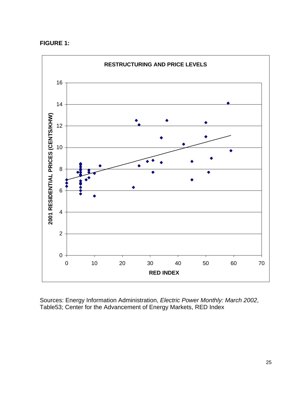#### **FIGURE 1:**



Sources: Energy Information Administration, *Electric Power Monthly: March 2002*, Table53; Center for the Advancement of Energy Markets, RED Index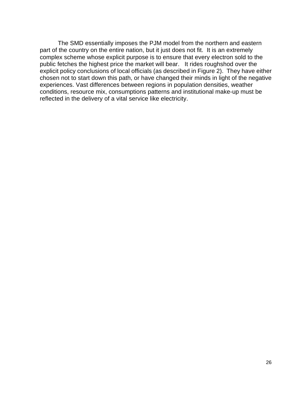The SMD essentially imposes the PJM model from the northern and eastern part of the country on the entire nation, but it just does not fit. It is an extremely complex scheme whose explicit purpose is to ensure that every electron sold to the public fetches the highest price the market will bear. It rides roughshod over the explicit policy conclusions of local officials (as described in Figure 2). They have either chosen not to start down this path, or have changed their minds in light of the negative experiences. Vast differences between regions in population densities, weather conditions, resource mix, consumptions patterns and institutional make-up must be reflected in the delivery of a vital service like electricity.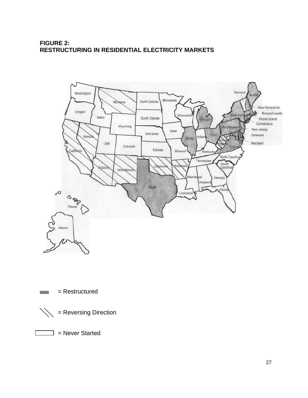# **FIGURE 2: RESTRUCTURING IN RESIDENTIAL ELECTRICITY MARKETS**







 $\Box$  = Never Started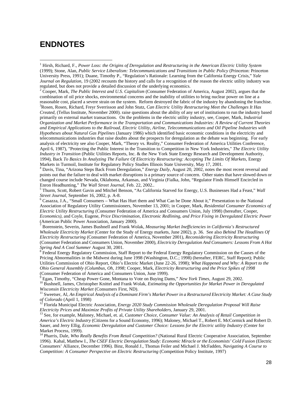# **ENDNOTES**

l

2 Cooper, Mark, *The Public Interest and U.S. Capitalism* (Consumer Federation of America, August 2002), argues that the combination of oil price shocks, environmental concerns and the inability of utilities to bring nuclear power on line at a reasonable cost, placed a severe strain on the system. Reform destroyed the fabric of the industry by abandoning the franchise. <sup>3</sup>Rosen, Rosen, Richard, Freyr Sverrisson and John Stutz, *Can Electric Utility Restructuring Meet the Challenges It Has Created,* (Tellus Institute, November 2000). raise questions about the ability of any set of institutions to run the industry based primarily on external market transactions. On the problems in the electric utility industry, see, Cooper, Mark, *Industrial Organization and Market Performance in the Transportation and Communications Industries: A Review of Current Theories and Empirical Applications to the Railroad, Electric Utility, Airline, Telecommunications and Oil Pipeline Industries with Hypotheses about Natural Gas Pipelines* (January 1986) which identified basic economic conditions in the electricity and telecommunications industries that raise doubts about the prospects for deregulation as the debate was beginning. For early analysis of electricity see also Cooper, Mark, "Theory vs. Reality," Consumer Federation of America Utilities Conference, April 6, 1987), "Protecting the Public Interest in the Transition to Competition in New York Industries," *The Electric Utility Industry in Transition* (Public Utilities Reports, Inc. & the New York State Energy Research and Development Authority, 1994), Back *To Basics In Analyzing The Failure Of Electricity Restructuring: Accepting The Limits Of Markets*, Energy Markets in Turmoil, Institute for Regulatory Policy Studies Illinois State University, May 17, 2001*.*

4 Davis, Tina, "Arizona Steps Back From Deregulation," *Energy Daily*, August 20, 2002, notes the most recent reversal and points out that the failure to deal with market disruptions is a primary source of concern. Other states that have slowed down or changed course include Nevada, Oklahoma, Arkansas, and Virginia (Fialka, John, "Regulator Finds Himself Encircled in Enron Headhunting," *The Wall Street Journal,* Feb. 22, 2002..

5 Thurm, Scott, Robert Gavin and Mitchel Benson, "As California Starved for Energy, U.S. Businesses Had a Feast," *Wall Street Journal,* September 16, 2002, p. A-8.

6 Casazza, J.A., "Small Consumers – What Has Hurt them and What Can be Done About it," Presentation to the National Association of Regulatory Utility Commissioners, November 13, 2001; in Cooper, Mark, *Residential Consumer Economics of Electric Utility Restructuring* (Consumer Federation of America and Consumers Union, July 1998) (hereafter, Cooper, *Economics)*, and Coyle, Eugene, *Price Discrimination, Electronic Redlining, and Price Fixing in Deregulated Electric Power* (American Public Power Association, January 2000).

7 Borenstein, Severin, James Bushnell and Frank Wolak, *Measuring Market Inefficiencies in California's Restructured Wholesale Electricity Market* (Center for the Study of Energy markets, June 2002), p. 36. See also *Behind The Headlines Of Electricity Restructuring* (Consumer Federation of America, November 2001), *Reconsidering Electricity Restructuring* (Consumer Federation and Consumers Union, November 2000), *Electricity Deregulation And Consumers: Lessons From A Hot Spring And A Cool Summer* August 30, 2001.

8 Federal Energy Regulatory Commission, Staff Report to the Federal Energy Regulatory Commission on the Causes of the Pricing Abnormalities in the Midwest during June 1998 (Washington, D.C.; 1998) (hereafter, FERC, Staff Report); Public Utilities Commission of Ohio Report, Ohio's Electric Market (June 22-26, 1998); *What Happened and Why: A Report to the Ohio General Assembly (Columbus, Oh, 1998;* Cooper, Mark, *Electricity Restructuring and the Price Spikes of 1998* (Consumer Federation of America and Consumers Union, June 1999).<br><sup>9</sup> Egan Timothy "Chean Power Gone, Montana to Vote on Buying Da

Egan, Timothy, "Cheap Power Gone, Montana to Vote on Buying Dams," *New York Times,* August 29, 2002.

<sup>10</sup> Bushnell, James, Christopher Knittel and Frank Wolak, *Estimating the Opportunities for Market Power in Deregulated Wisconsin Electricity Market* (Consumers First, ND).

<sup>11</sup> Sweetser, Al, *An Empirical Analysis of a Dominant Firm's Market Power in a Restructured Electricity Market: A Case Study of Colorado* (April 1, 1998)

<sup>12</sup> Florida Municipal Electric Association, *Energy 2020 Study Commission Wholesale Deregulation Proposal Will Raise Electricity Prices and Maximize Profits of Private Utility Shareholders*, January 29, 2001.

<sup>13</sup> See, for example, Maloney, Michael, et. al, *Customer Choice, Consumer Value: An Analysis of Retail Competition in America's Electric Industry* (Citizens for a Sound Economy, 1996); Maloney, Michael T., Robert E. McCormick and Robert D. Sauer, and Jerry Ellig, *Economic Deregulation and Customer Choice: Lessons for the Electric utility Industry* (Center for Market Process, 1999).

<sup>14</sup> Pharris, Dale, *Who Really Benefits From Retail Competition?* (National Rural Electric Cooperative Association, September 1996). Kahal, Matthew I., *The CSEF Electric Deregulation Study: Economic Miracle or the Economists' Cold Fusion* (Electric Consumers' Alliance, December 1996). Binz, Ronald J., Thomas Feiler and Michael J. McFadden*, Navigating A Course to Competition: A Consumer Perspective on Electric Restructuring* (Competition Policy Institute, 1997)

<sup>&</sup>lt;sup>1</sup> Hirsh, Richard, F., *Power Loss: the Origins of Deregulation and Restructuring in the American Electric Utility System* (1999); Stone, Alan, *Public Service Liberalism: Telecommunications and Transitions in Public Policy* (Princeton: Princeton University Press, 1991); Duane, Timothy P., "Regulation's Rationale: Learning from the California Energy Crisis," *Yale Journal on Regulation,* 19 (2002 recounts the history and calls for a recognition of the reason the electric utility industry was regulated, but does not provide a detailed discussion of the underlying economics.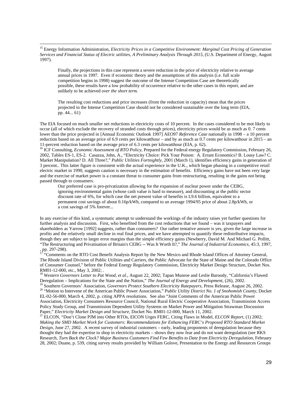<sup>15</sup> Energy Information Administration, *Electricity Prices in a Competitive Environment: Marginal Cost Pricing of Generation Services and Financial Status of Electric utilities, A Preliminary Analysis Through 2015*, (U.S. Department of Energy, August 1997).

l

Finally, the projections in this case represent a severe reduction in the price of electricity relative to average annual prices in 1997. Even if economic theory and the assumptions of this analysis (i.e. full scale competition begins in 1998) suggest the outcome of the Intense Competition Case are theoretically possible, these results have a low probability of occurrence relative to the other cases in this report, and are unlikely to be achieved *over the short term.*

The resulting cost reductions and price increases (from the reduction in capacity) mean that the prices projected in the Intense Competition Case should not be considered sustainable over the long term (EIA, pp. 44... 61)

The EIA focused on much smaller net reductions in electricity costs of 10 percent. In the cases considered to be mot likely to occur (all of which exclude the recovery of stranded costs through prices), electricity prices would be as much as 0. 7 cents lower than the price projected in [Annual Economic Outlook 1997] AEO97 *Reference Case* nationally in 1998 – a 10 percent reduction based on an average price of 6.9 cents per kilowatthour – and by as much as 0.7 cents per kilowatthour in 2015 – an 11-percent reduction based on the average price of 6.3 cents per kilowatthour (EIA, p. 62).

<sup>16</sup> ICF Consulting, *Economic Assessment of RTO Policy*, Prepared for the Federal energy Regulatory Commission, February 26, 2002, Tables ES-1, ES-2. Casazza, John, A., "Electricity Choice: Pick Your Poison: A. Errant Economics? B. Lousy Law? C. Market Manipulation? D. All Three?," *Public Utilities Fortnightly*, 2001 (March 1), identifies efficiency gains in generation of 3 percent.. This latter figure is consistent with the actual experience in the U.K., which began phasing in a competitive retail electric market in 1990, suggests caution is necessary in the estimation of benefits. Efficiency gains have not been very large and the exercise of market power is a constant threat to consumer gains from restructuring, resulting in the gains not being passed through to consumers.

Our preferred case is pro-privatization allowing for the expansion of nuclear power under the CEBG, ignoring environmental gains (whose cash value is hard to measure), and discounting at the public sector discount rate of 6%, for which case the net present value of benefits is L9.6 billion, equivalent to a permanent cost savings of about 0.16p/kWh, compared to an average 1994/95 price of about 2.8p/kWh, or a cost savings of 5% forever...

In any exercise of this kind, a systematic attempt to understand the workings of the industry raises yet further questions for further analysis and discussion. First, who benefited from the cost reductions that we found – was it taxpayers and shareholders as Yarrow [1992] suggests, rather than consumers? Our rather tentative answer is yes, given the large increase in profits and the relatively small decline in real final prices, and we have attempted to quantify these redistributive impacts, though they are subject to larger error margins than the simple efficiency gains (Newberry, David M. And Michael G. Pollitt, "The Restructuring and Privatisation of Britain's CEBG -- Was It Worth It?," *The Journal of Industrial Economics*, 45:3, 1997,  $, pp. 297-298.$ 

<sup>17</sup> "Comments on the RTO Cost Benefit Analysis Report by the New Mexico and Rhode Island Offices of Attorney General, The Rhode Island Division of Public Utilities and Carriers, the Public Advocate for the State of Maine and the Colorado Office of Consumer Counsel," before the Federal Energy Regulatory Commission, Electricity Market Design Structure, Docket Nos. RM01-12-000, etc., May 3, 2002; .

<sup>18</sup> *Western Governors Letter to Pat Wood, et al*., August 22, 2002; Tapan Munroe and Leslie Baroody, "California's Flawed Deregulation – Implications for the State and the Nation," *The Journal of Energy and Development,* (26), 2002.

<sup>19</sup> Southern Governors' Association, *Governors Protect Southern Electricity Ratepayers*, Press Release, August 26, 2002. <sup>20</sup> "Motion to Intervene of the American Public Power Association," *Public Utility District No. 1 of Snohomish County*, Docket EL-02-56-000, March 4, 2002, p. citing APPA resolutions. See also "Joint Comments of the American Public Power Association, Electricity Consumers Resource Council, National Rural Electric Cooperative Association, Transmission Access Policy Study Group, and Transmission Dependent Utility Systems on Market Power and Mitigation Strawman Discussion Paper," *Electricity Market Design and Structure*, Docket No. RM01-12-000, March 11, 2002.

<sup>21</sup> ELCON, "Don't Clone PJM into Other RTOs, ElCON Urges FERC, Citing Flaws in Model, *ELCON Report,* (1) 2002; *Making the SMD Market Work for Customers: Recommendations for Enhancing FERC's Proposed RTO Standard Market Design*, June 27, 2002. A recent survey of industrial customers – early, leading proponents of deregulation because they thought they had the expertise to shop in electricity markets – shows they now fear and do not want deregulation (see RKS Research, *Turn Back the Clock? Major Business Customers Find Few Benefits to Date from Electricity Deregulation*, February 28, 2002; Duane, p. 539, citing survey results provided by William Golove, Presentation to the Energy and Resources Groups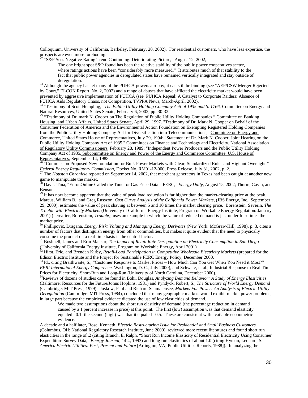Colloquium, University of California, Berkeley, February, 20, 2002). For residential customers, who have less expertise, the prospects are even more foreboding.

<sup>2</sup> "S&P Sees Negative Rating Trend Continuing: Deteriorating Picture," August 12, 2002,

l

The one bright spot S&P found has been the relative stability of the public power cooperatives sector, where ratings actions have been "considerably more measured." It attributes much of that stability to the fact that public power agencies in deregulated states have remained vertically integrated and stay outside of deregulation.

<sup>23</sup> Although the agency has let many of the PUHCA powers atrophy, it can still be binding (see "AEP/CSW Merger Rejected by Court," ELCON Report, No. 2, 2002) and a range of abuses that have afflicted the electricity market would have been prevented by aggressive implementation of PUHCA (see PUHCA Repeal: A Catalyst to Corporate Raiders: Absence of PUHCA Aids Regulatory Chaos, not Competition, TVPPA News, March-April, 2002).

<sup>24</sup> "Testimony of Scott Hempling," *The Public Utility Holding Company Actt of 1935 and S. 1766,* Committee on Energy and Natural Resources, United States Senate, February 6, 2002, pp. 30-32.

<sup>25</sup> "Testimony of Dr. mark N. Cooper on The Regulation of Public Utility Holding Companies," Committee on Banking, Housing, and Urban Affairs, United States Senate, April 29, 1997. "Testimony of Dr. Mark N. Cooper on Behalf of the Consumer Federation of America and the Environmental Action Foundation on Exempting Registered Holding Companies from the Public Utility Holding Company Act for Diversification into Telecommunications," Committee on Energy and Commerce, United States House of Representatives, July 29, 1994; "Statement of Dr. Mark N. Cooper, Joint Hearing on the Public Utility Holding Company Act of 1935," Committees on Finance and Technology and Electricity, National Association of Regulatory Utility Commissioners, February 28, 1989; "Independent Power Producers and the Public Utility Holding Company Act of 1935, Subcommittee on Energy and Power of the Energy and Commerce Committee, U.S. House of Representatives, September 14, 1988.

<sup>26</sup> "Commission Proposed New foundation for Bulk Power Markets with Clear, Standardized Rules and Vigilant Oversight," *Federal Energy Regulatory Commission*, Docket No. RM01-12-000, Press Release, July 31, 2002, p. 2.

<sup>27</sup> The *Houston Chronicle* reported on September 14, 2002, that merchant generators in Texas had been caught at another new game to manipulate the market.

<sup>28</sup> Davis, Tina, "EnronOnline Called the Tune for Gas Price Data – FERC," *Energy Daily,* August 15, 2002; Thurm, Gavin, and Benson,

 $29$  It has now become apparent that the value of peak load reduction is far higher than the market-clearing price at the peak. Marcus, William B., and Greg Russzon, *Cost Curve Analysis of the California Power Markets*, (JBS Energy, Inc., September 29, 2000), estimates the value of peak shaving at between 5 and 10 times the market clearing price. Borenstein, Severin, *The Trouble with Electricity Markets* (University of California Energy Institute, Program on Workable Energy Regulation: January 2001) (hereafter, Borenstein, *Trouble)*, uses an example in which the value of reduced demand is just under four times the market price.

<sup>30</sup> Phillipovic, Dragana, *Energy Risk: Valuing and Managing Energy Derivates* (New York: McGraw-Hill, 1998), p. 3, cites a number of factors that distinguish energy from other commodities, but makes it quite evident that the need to physically consume the product on a real-time basis is the central factor.

<sup>31</sup> Bushnell, James and Erin Mansur, *The Impact of Retail Rate Deregulation on Electricity Consumption in San Diego*  (University of California Energy Institute, Program on Workable Energy, April 2001).

<sup>32</sup> Hirst, Eric, and Brendan Kirby, *Retail-Load Participation in Competitive Wholesale Electricity Markets* (prepared for the Edison Electric Institute and the Project for Sustainable FERC Energy Policy, December 2000.

<sup>33</sup> Id., citing Braithwaite, S., "Customer Response to Market Prices – How Much Can You Get When You Need it Most?" *EPRI International Energy Conference*, Washington, D. C., July 2000), and Schwarz, et al., Industrial Response to Real-Time Prices for Electricity: Short-Run and Long-Run (University of North Carolina, December 2000).

<sup>34</sup>Reviews of dozens of studies can be found in Bohi, Douglas, *Analyzing Demand Behavior: A Study of Energy Elasticities* (Baltimore: Resources for the Future/Johns Hopkins, 1981) and Pyndyck, Robert, S., *The Structure of World Energy Demand* (Cambridge: MIT Press, 1979). Joskow, Paul and Richard Schmalensee, *Markets For Power: An Analysis of Electric Utility Deregulation* (Cambridge: MIT Press, 1984), concluded that many geographic markets would exhibit market power problems, in large part because the empirical evidence dictated the use of low elasticities of demand.

We made two assumptions about the short run elasticity of demand (the percentage reduction in demand caused by a 1 percent increase in price) at this point. The first (low) assumption was that demand elasticity equaled  $-0.1$ ; the second (high) was that it equaled  $-0.5$ . These are consistent with available econometric evidence.

A decade and a half later, Rose, Kenneth, *Electric Restructuring Issue for Residential and Small Business Customers*  (Columbus, OH: National Regulatory Research Institute, June 2000), reviewed more recent literatures and found short run elasticities in the range of .2 (citing Branch, E. Ralph, "Short Run Income Elasticity of Residential Electricity Using Consumer Expenditure Survey Data," *Energy Journal*, 14:4, 1993) and long run elasticities of about 1.0 (citing Hyman, Leonard, S. *America Electric Utilities: Past, Present and Future* [Arlington, VA; Public Utilities Reports, 1988]). In analyzing the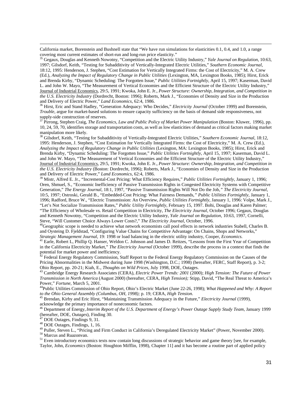California market, Borenstein and Bushnell state that "We have run simulations for elasticities 0.1, 0.4, and 1.0, a range covering most current estimates of short-run and long-run price elasticity."

<sup>35</sup> Gegaux, Douglas and Kenneth Nowotny, "Competition and the Electric Utility Industry," *Yale Journal on Regulation*, 10:63, 1997; Gilsdorf, Keith, "Testing for Subadditivity of Vertically-Integrated Electric Utilities," *Southern Economic Journal*, 18:12, 1995: Henderson, J. Stephen, "Cost Estimation for Vertically Integrated Firms: the Cost of Electricity," M. A. Crew (Ed.), *Analyzing the Impact of Regulatory Change in Public Utilities* (Lexington, MA, Lexington Books, 1985); Hirst, Erick and Brenda Kirby, "Dynamic Scheduling: The Forgotten Issue," *Public Utilities Fortnightly*, April 15, 1997; Kaserman, David L. and John W. Mayo, "The Measurement of Vertical Economies and the Efficient Structure of the Electric Utility Industry," Journal of Industrial Economics, 29:5, 1991; Kwoka, John E. Jr., *Power Structure: Ownership, Integration, and Competition in the U.S. Electricity Industry* (Dordrecht, Boston: 1996); Roberts, Mark J., "Economies of Density and Size in the Production and Delivery of Electric Power," *Land Economics*, 62:4, 1986.

<sup>36</sup> Hirst, Eric and Stand Hadley, "Generation Adequacy: Who Decides," *Electricity Journal* (October 1999) and Borenstein, *Trouble*, argue for market-based solutions to ensure capacity sufficiency on the basis of demand side responsiveness, not supply-side construction of reserves.

<sup>37</sup> Pirrong, Stephen Craig, *The Economics, Law and Public Policy of Market Power Manipulation* (Boston: Kluwer, 1996), pp. 10, 24, 59, 70, identifies storage and transportation costs, as well as low elasticities of demand as critical factors making market manipulation more likely.

<sup>38</sup> Gilsdorf, Keith, "Testing for Subadditivity of Vertically-Integrated Electric Utilities," *Southern Economic Journal*, 18:12, 1995: Henderson, J. Stephen, "Cost Estimation for Vertically Integrated Firms: the Cost of Electricity," M. A. Crew (Ed.), *Analyzing the Impact of Regulatory Change in Public Utilities* (Lexington, MA: Lexington Books, 1985); Hirst, Erick and Brenda Kirby, "Dynamic Scheduling: The Forgotten Issue," *Public Utilities Fortnightly*, April 15, 1997; Kaserman, David L. and John W. Mayo, "The Measurement of Vertical Economies and the Efficient Structure of the Electric Utility Industry," Journal of Industrial Economics, 29:5, 1991; Kwoka, John E. Jr., *Power Structure: Ownership, Integration, and Competition in the U.S. Electricity Industry* (Boston: Dordrecht, 1996); Roberts, Mark J., "Economies of Density and Size in the Production and Delivery of Electric Power," *Land Economics*, 62:4, 1986.

<sup>39</sup> Mistr, Alfred E. Jr., "Incremental-Cost Pricing: What Efficiency Requires," *Public Utilities Fortnightly*, January 1, 1996; Oren, Shmuel, S., "Economic Inefficiency of Passive Transmission Rights in Congested Electricity Systems with Competitive Generation," *The Energy Journal*, 18:1, 1997, "Passive Transmission Rights Will Not Do the Job*," The Electricity Journal*, 10:5, 1997; Ostroski, Gerald B., "Embedded-Cost Pricing: What Fairness Demands*," Public Utilities Fortnightly*, January 1, 1996; Radford, Bruce W., "Electric Transmission: An Overview, *Public Utilities Fortnightly*, January 1, 1996: Volpe, Mark J., "Let's Not Socialize Transmission Rates," *Public Utility Fortnightly*, February 15, 1997. Bohi, Douglas and Karen Palmer; "The Efficiency of Wholesale vs. Retail Competition in Electricity, *The Electricity Journal*, October 1996; Gegaux, Douglas and Kenneth Nowotny, "Competition and the Electric Utility Industry, *Yale Journal on Regulation*, 10:63, 1997, Cornelli, Steve, "Will Customer Choice Always Lower Costs?," *The Electricity Journal*, October, 1996.

 $^{40}$ Geographic scope is needed to achieve what network economists call pool effects in network industries Stabell, Charles B. and Oysteing D. Fjeldstad, "Configuring Value Chains for Competitive Advantage: On Chains, Shops and Networks," *Strategic Management Journal*, 19: 1998 or load balancing in the electric utility industry, Cooper, *Economics.*

<sup>41</sup> Earle, Robert L, Phillip Q. Hanser, Weldon C. Johnson and James D. Reitzes, "Lessons from the First Year of Competition in the California Electricity Market," *The Electricity Journal* (October 1999), describe the process in a context that finds the potential for market power and inefficiency.

 $42$  Federal Energy Regulatory Commission, Staff Report to the Federal Energy Regulatory Commission on the Causes of the Pricing Abnormalities in the Midwest during June 1998 (Washington, D.C.; 1998) (hereafter, FERC, Staff Report), p. 3-2; Ohio Report, pp. 20-21; Kiah, E., *Thoughts on Wild Prices*, July 1998, DOE, Outages.

<sup>43</sup> Cambridge Energy Research Associates (CERA), *Electric Power Trends: 2001* (2000); *High Tension: The Future of Power Transmission in North America* (August 2000) (hereafter, CERA, *High Tension);* Stipp, David, "The Real Threat to America's Power," *Fortune,* March 5, 2001.

<sup>44</sup>Public Utilities Commission of Ohio Report, Ohio's Electric Market (June 22-26, 1998); *What Happened and Why: A Report to the Ohio General Assembly (Columbus, OH, 1998);* p. 19; CERA, *High Tension.*

<sup>45</sup> Brendan, Kirby and Eric Hirst, "Maintaining Transmission Adequacy in the Future," *Electricity Journal* (1999), acknowledge the primary importance of noneconomic factors.

<sup>46</sup> Department of Energy,*Interim Report of the U.S. Department of Energy's Power Outage Supply Study Team*, January 1999 (hereafter, DOE, *Outages*), Finding 30.

 $47$  DOE Outages, Findings 9, 31.

<sup>48</sup> DOE Outages, Findings, 1, 16.

<sup>49</sup> Puller, Steven L., "Pricing and Firm Conduct in California's Deregulated Electricity Market" (Power, November 2000).

<sup>50</sup> Marcus and Ruazonvan.

l

<sup>51</sup> Even introductory economics texts now contain long discussions of strategic behavior and game theory [see, for example, Taylor, John, *Economics* (Boston: Houghton Mifflin, 1998), Chapter 11] and it has become a routine part of applied policy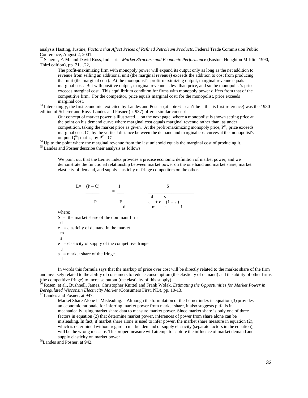analysis Hasting, Justine, *Factors that Affect Prices of Refined Petroleum Products*, Federal Trade Commission Public Conference, August 2, 2001.

<sup>52</sup> Scherer, F. M. and David Ross, Industrial *Market Structure and Economic Performance* (Boston: Houghton Mifflin: 1990, Third edition), pp. 21…22,

The profit-maximizing firm with monopoly power will expand its output only as long as the net addition to revenue from selling an additional unit (the marginal revenue) exceeds the addition to cost from producing that unit (the marginal cost). At the monopolist's profit-maximizing output, marginal revenue equals marginal cost. But with positive output, marginal revenue is less than price, and so the monopolist's price exceeds marginal cost. This equilibrium condition for firms with monopoly power differs from that of the competitive firm. For the competitor, price equals marginal cost; for the monopolist, price exceeds marginal cost.

 $53$  Interestingly, the first economic text cited by Landes and Posner (at note  $6 - \text{can't be} - \text{this is first reference}$ ) was the 1980 edition of Scherer and Ross. Landes and Posner (p. 937) offer a similar concept

Our concept of market power is illustrated… on the next page, where a monopolist is shown setting price at the point on his demand curve where marginal cost equals marginal revenue rather than, as under competition, taking the market price as given. At the profit-maximizing monopoly price,  $P<sup>m</sup>$ , price exceeds marginal cost, C', by the vertical distance between the demand and marginal cost curves at the monopolist's output,  $Q^m$ ; that is, by  $P^m - C'$ 

<sup>54</sup> Up to the point where the marginal revenue from the last unit sold equals the marginal cost of producing it.

<sup>55</sup> Landes and Posner describe their analysis as follows:

We point out that the Lerner index provides a precise economic definition of market power, and we demonstrate the functional relationship between market power on the one hand and market share, market elasticity of demand, and supply elasticity of fringe competitors on the other.



where:

l

 $S =$  the market share of the dominant firm

 d  $e$  = elasticity of demand in the market

m

s

 $e =$  elasticity of supply of the competitive fringe

 j  $s =$  market share of the fringe.

i

In words this formula says that the markup of price over cost will be directly related to the market share of the firm and inversely related to the ability of consumers to reduce consumption (the elasticity of demand) and the ability of other firms (the competitive fringe) to increase output (the elasticity of this supply).

<sup>56</sup> Rosen, et al., Bushnell, James, Christopher Knittel and Frank Wolak, *Estimating the Opportunities for Market Power in Deregulated Wisconsin Electricity Market* (Consumers First, ND), pp. 10-13.

<sup>57</sup> Landes and Posner, at 947.

Market Share Alone Is Misleading. – Although the formulation of the Lerner index in equation (3) provides an economic rationale for inferring market power from market share, it also suggests pitfalls in mechanically using market share data to measure market power. Since market share is only one of three factors in equation (2) that determine market power, inferences of power from share alone can be misleading. In fact, if market share alone is used to infer power, the market share measure in equation (2), which is determined without regard to market demand or supply elasticity (separate factors in the equation), will be the wrong measure. The proper measure will attempt to capture the influence of market demand and supply elasticity on market power

<sup>58</sup>Landes and Posner, at 942.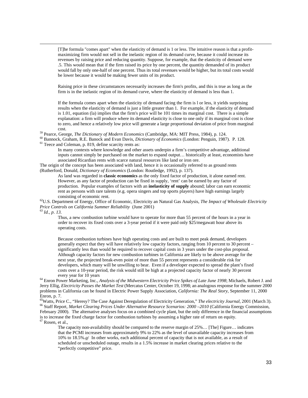[T]he formula "comes apart" when the elasticity of demand is 1 or less. The intuitive reason is that a profitmaximizing firm would not sell in the inelastic region of its demand curve, because it could increase its revenues by raising price and reducing quantity. Suppose, for example, that the elasticity of demand were .5. This would mean that if the firm raised its price by one percent, the quantity demanded of its product would fall by only one-half of one percent. Thus its total revenues would be higher, but its total costs would be lower because it would be making fewer units of its product.

Raising price in these circumstances necessarily increases the firm's profits, and this is true as long as the firm is in the inelastic region of its demand curve, where the elasticity of demand is less than 1.

If the formula comes apart when the elasticity of demand facing the firm is l or less, it yields surprising results when the elasticity of demand is just a little greater than 1. For example, if the elasticity of demand is 1.01, equation (la) implies that the firm's price will be 101 times its marginal cost. There is a simple explanation: a firm will produce where its demand elasticity is close to one only if its marginal cost is close to zero, and hence a relatively low price will generate a large proportional deviation of price from marginal cost.

<sup>59</sup> Pearce, George, *The Dictionary of Modern Economics* (Cambridge, MA: MIT Press, 1984), p. 124.

<sup>60</sup> Bannock, Graham, R.E. Banock and Evan Davis, *Dictionary of Economics* (London: Penguin, 1987). P. 128. <sup>61</sup> Teece and Coleman, p. 819, define scarcity rents as:

In many contexts where knowledge and other assets underpin a firm's competitive advantage, additional inputs cannot simply be purchased on the market to expand output… historically at least, economists have associated Ricardian rents with scarce natural resources like land or iron ore.

The origin of the concept has been associated with land, hence it is occasionally referred to as ground rents (Rutherford, Donald, *Dictionary of Economics* (London: Routledge, 1992), p. 137).

As land was regarded in **classic economics** as the only fixed factor of production, it alone earned rent. However, as any factor of production can be fixed in supply, 'rent' can be earned by any factor of production. Popular examples of factors with an **inelasticity of supply** abound; labor can earn economic rent as persons with rare talents (e.g. opera singers and top sports players) have high earnings largely consisting of economic rent.

<sup>62</sup>U.S. Department of Energy, Office of Economic, Electricity an Natural Gas Analysis, *The Impact of Wholesale Electricity Price Controls on California Summer Reliability* (June 2001)

<sup>63</sup> *Id., p. 13.*

l

Thus, a new combustion turbine would have to operate for more than 55 percent of the hours in a year in order to recover its fixed costs over a 3-year period if it were paid only \$25/megawatt hour above its operating costs.

Because combustion turbines have high operating costs and are built to meet peak demand, developers generally expect that they will have relatively low capacity factors, ranging from 10 percent to 30 percent – significantly less than would be required to recover capital costs in 3 years under the cost-plus proposal. Although capacity factors for new combustion turbines in California are likely to be above average for the next year, the projected break-even point of more than 55 percent represents a considerable risk for developers, which many will be unwilling to bear. Even if a developer expected to spread the plant's fixed costs over a 10-year period, the risk would still be high at a projected capacity factor of nearly 30 percent every year for 10 years

<sup>64</sup> Enron Power Marketing, Inc., *Analysis of the Midwestern Electricity Price Spikes of Late June 1998*; Michaels, Robert J. and Jerry Ellig, *Electricity Passes the Market Test* (Mercatus Center, October 19, 1998; an analogous response for the summer 2000 problems in California can be found in Electric Power Supply Association, *California: The Real Story,* September 11, 2000 Enron, p. 7.

<sup>65</sup>Watts, Price C., "Heresy? The Case Against Deregulation of Electricity Generation," *The electricity Journal*, 2001 (March 3). <sup>66</sup> Staff Report, *Market Clearing Prices Under Alternative Resource Scenarios: 2000 –2010* (California Energy Commission, February 2000). The alternative analyses focus on a combined cycle plant, but the only difference in the financial assumptions is to increase the fixed charge factor for combustion turbines by assuming a higher rate of return on equity.

 $^{67}$  Rosen, et al.,

The capacity non-availability should be compared to the reserve margin of 25%… [The] Figure… indicates that the PCMI increases from approximately 9% to 22% as the level of unavailable capacity increases from 10% to 18.5%.*a*/ In other works, each additional percent of capacity that is not available, as a result of scheduled or unscheduled outage, results in a 1.5% increase in market clearing prices relative to the "perfectly competitive" price.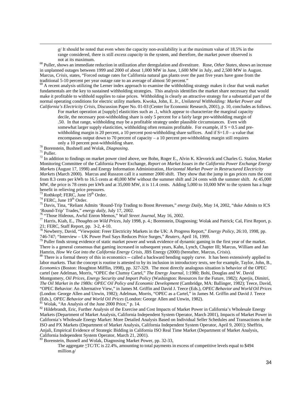*a*/ It should be noted that even when the capacity non-availability is at the maximum value of 18.5% in the range considered, there is still *excess capacity* in the system, and therefore, the market power observed is not at its maximum.

<sup>68</sup> Puller, shows an immediate reduction in utilization after deregulation and divestiture. Rose, *Other States,* shows an increase in unplanned outages between 1999 and 2000 of about 1,000 MW in June, 1,600 MW in July, and 2,500 MW in August. Marcus, *Crisis,* states, "Forced outage rates for California natural gas plants over the past five years have gone from the traditional 5-10 percent per year outage rate to an average of almost 50 percent."

 $69$  A recent analysis utilizing the Lerner index approach to examine the withholding strategy makes it clear that weak market fundamentals are the key to sustained withholding strategies. This analysis identifies the market share necessary that would make it profitable to withhold supplies to raise prices. Withholding is clearly an attractive strategy for a substantial part of the normal operating conditions for electric utility markets. Kwoka, John, E. Jr., *Unilateral Withholding: Market Power and California's Electricity Crisis,* Discussion Paper No. 01-03 (Center for Economic Research, 2001), p. 10, concludes as follows.

For market operation at [supply] elasticities such as .1, which appear to characterize the marginal capacity decile, the necessary post-withholding share is only 5 percent for a fairly large pre-withholding margin of .50. In that range, withholding may be a profitable strategy under plausible circumstances. Even with somewhat larger supply elasticities, withholding often remains profitable. For example, if  $S = 0.5$  and prewithholding margin is 20 percent, a 10 percent post-withholding share suffices. And if  $S=1.0 - a$  value that encompasses output down to 70 percent of capacity – a 10 percent pre-withholding margin still requires only a 10 percent post-withholding share.

<sup>70</sup> Borenstein, Bushnell and Wolak, *Diagnosing*.

<sup>71</sup> Puller.

l

<sup>72</sup> In addition to findings on market power cited above, see Bohn, Roger E., Alvin K. Klevorick and Charles G. Stalon, Market Monitoring Committee of the California Power Exchange, *Report on Market Issues in the California Power Exchange Energy Markets* (August 17, 1998) and Energy Information Administration, *Horizontal Market Power in Restructured Electricity Markets* (March 2000). Marcus and Russzon call it a summer 2000 shift. They show that the jump in gas prices runs the cost from 8.3 cents per kWh to 16.5 cents at 40,000 MW without the summer shift and 24 cents with the summer shift. At 45,000 MW, the price is 78 cents per kWh and at 35,000 MW, it is 11.4 cents. Adding 5,000 to 10,000 MW to the system has a huge benefit in relieving price pressures.

 $^{73}$  Rothkopf; FERC, June  $19<sup>th</sup>$  Order.

<sup>74</sup> FERC, June 19<sup>th</sup> Order.

<sup>75</sup> Davis, Tina, "Reliant Admits 'Round-Trip Trading to Boost Revenues," *energy Daily,* May 14, 2002, "duke Admits to ICS 'Round-Trip' Trades," *energy daily,* July 17, 2002.

<sup>76</sup> "Those Hideous, Awful Enron Memos," *Wall Street Journal,* May 16, 2002.

<sup>77</sup> Harris, Kiah, E., *Thoughts on Wild Prices*, July 1998, p. 4.; Borenstein, Diagnosing; Wolak and Patrick; Cal, First Report, p. 21; FERC, Staff Report, pp. 3-2, 4-10.

<sup>78</sup> Newberry, David, "Viewpoint: Freer Electricity Markets in the UK: A Progress Report," *Energy Policy*, 26:10, 1998, pp. 746-747; "Interview – UK Power Pool Says Reduces Price Surges," *Reuters*, April 16, 1999.

 $79$  Puller finds strong evidence of static market power and weak evidence of dynamic gaming in the first year of the market. There is a general consensus that gaming increased in subsequent years, Kahn, Lynch, Chapter III; Marcus, William and Jan Hamrin, *How We Got into the California Energy Crisis*, JBS Energy (2000) (hereafter, Marcus, *Crisis*).

80 There is a formal theory of this in economics -- called a backward bending supply curve. It has been extensively applied to labor markets. That the concept is routine is attested to by its inclusion in introductory texts, see for example, Taylor, John, B., *Economics* (Boston: Houghton Mifflin, 1998), pp. 327-329. The most directly analogous situation is behavior of the OPEC cartel (see Adelman, Morris, "OPEC the Clumsy Cartel," *The Energy Journal*, 1:1980; Bohi, Douglas and W. David Montgomery, *Oil Prices, Energy Security and Import Policy* (Washington: Resources for the Future, 1982); Aperjis, Dimitri, *The Oil Market in the 1980s: OPEC Oil Policy and Economic Development* (Cambridge, MA: Ballinger, 1982); Teece, David, "OPEC Behavior: An Alternative View," in James M. Griffin and David J. Teece (Eds.), *OPEC Behavior and World Oil Prices* (London: George Allen and Unwin, 1982); Adelman, Morris, "OPEC as a Cartel," in James M. Griffin and David J. Teece (Eds.), *OPEC Behavior and World Oil Prices* (London: George Allen and Unwin, 1982).

 $81$  Wolak, "An Analysis of the June 2000 Price," p. 14.

<sup>82</sup> Hildebrandt, Eric, Further Analysis of the Exercise and Cost Impacts of Market Power in California's Wholesale Energy Markets (Department of Market Analysis, California Independent System Operator, March 2001), Impacts of Market Power in California's Wholesale Energy Market: More Detailed Analysis Based on Individual Seller Schedules and Transactions in the ISO and PX Markets (Department of Market Analysis, California Independent System Operator, April 9, 2001); Sheffrin, Anjali, Empirical Evidence of Strategic Bidding in California ISO Real Time Market (Department of Market Analysis, California Independent System Operator, March 21, 2001).

<sup>83</sup> Borenstein, Busnell and Wolak, Diagnosing Market Power, pp. 32-33,

The aggregate  $\Delta$ TC/TC is 22.4%, amounting to total payments in excess of competitive levels equal to \$494 million.a/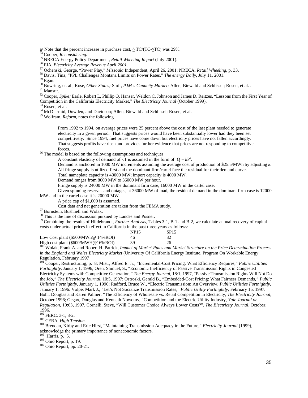<sup>87</sup> Ochenski, George, "Power Play," *Missoula* Independent, April 26, 2001; NRECA, *Retail Wheeling,* p. 33.

 $^{89}$  Egan.

l

<sup>90</sup> Bowring, et. al., Rose, *Other States;* Stoft, *PJM's Capacity Market;* Allen, Biewald and Schlissel; Rosen, et al. .

<sup>91</sup> Mansur.

<sup>92</sup> Cooper, *Spike; Earle, Robert L, Phillip Q. Hanser, Weldon C. Johnson and James D. Reitzes, "Lessons from the First Year of* Competition in the California Electricity Market," *The Electricity Journal* (October 1999),

Rosen, et al.

<sup>94</sup> McDiarmid, Dowden, and Davidson; Allen, Biewald and Schlissel; Rosen, et al.

<sup>95</sup> Wolfram, *Reform*, notes the following

From 1992 to 1994, on average prices were 25 percent above the cost of the last plant needed to generate electricity in a given period. That suggests prices would have been substantially lower had they been set competitively. Since 1994, fuel prices have come down but electricity prices have not fallen accordingly. That suggests profits have risen and provides further evidence that prices are not responding to competitive forces.

<sup>96</sup> The model is based on the following assumptions and techniques

A constant elasticity of demand of -.1 is assumed in the form of  $Q = kP^e$ .

Demand is anchored in 1000 MW increments assuming the average cost of production of \$25.5/MWh by adjusting *k.* All fringe supply is utilized first and the dominant firm/cartel face the residual for their demand curve.

Total nameplate capacity is 40000 MW; import capacity is 4000 MW.

Demand ranges from 8000 MW to 36000 MW per hour.

Fringe supply is 24000 MW in the dominant firm case, 16000 MW in the cartel case.

Given spinning reserves and outages, at 36000 MW of load, the residual demand in the dominant firm case is 12000 MW and in the cartel case it is 20000 MW.

A price cap of \$1,000 is assumed.

Cost data and net generation are taken from the FEMA study.

<sup>97</sup> Bornstein, Bushnell and Wolak.

<sup>98</sup> This is the line of discussion pursued by Landes and Posner.

<sup>99</sup> Combining the results of Hildebrandt, *Further Analysis*, Tables 3-1, B-1 and B-2, we calculate annual recovery of capital costs under actual prices in effect in California in the past three years as follows:

|                                                                                                                                                                                                                                                                                                                                                                | <b>NP15</b> | SP <sub>15</sub> |
|----------------------------------------------------------------------------------------------------------------------------------------------------------------------------------------------------------------------------------------------------------------------------------------------------------------------------------------------------------------|-------------|------------------|
| Low Cost plant $(\$500/MWh@ 14\%ROI)$                                                                                                                                                                                                                                                                                                                          | 46          |                  |
| High cost plant (\$600/MWH@16%ROI)                                                                                                                                                                                                                                                                                                                             | 39          | 26               |
| $100 \times 11 \times 1$<br>$\mathbf{1}$ $\mathbf{1}$ $\mathbf{1}$ $\mathbf{1}$ $\mathbf{1}$ $\mathbf{1}$ $\mathbf{1}$ $\mathbf{1}$ $\mathbf{1}$ $\mathbf{1}$ $\mathbf{1}$ $\mathbf{1}$ $\mathbf{1}$ $\mathbf{1}$ $\mathbf{1}$ $\mathbf{1}$ $\mathbf{1}$ $\mathbf{1}$ $\mathbf{1}$ $\mathbf{1}$ $\mathbf{1}$ $\mathbf{1}$ $\mathbf{1}$ $\mathbf{1}$ $\mathbf{$ |             |                  |

<sup>100</sup> Wolak, Frank A. and Robert H. Patrick, *Impact of Market Rules and Market Structure on the Price Determination Process in the England and Wales Electricity Market* (University Of California Energy Institute, Program On Workable Energy Regulation, February 1997

<sup>101</sup> Cooper, Restructuring, p. 8; Mistr, Alfred E. Jr., "Incremental-Cost Pricing: What Efficiency Requires," *Public Utilities Fortnightly*, January 1, 1996; Oren, Shmuel, S., "Economic Inefficiency of Passive Transmission Rights in Congested Electricity Systems with Competitive Generation," *The Energy Journal*, 18:1, 1997, "Passive Transmission Rights Will Not Do the Job*," The Electricity Journal*, 10:5, 1997; Ostroski, Gerald B., "Embedded-Cost Pricing: What Fairness Demands*," Public Utilities Fortnightly*, January 1, 1996; Radford, Bruce W., "Electric Transmission: An Overview, *Public Utilities Fortnightly*, January 1, 1996: Volpe, Mark J., "Let's Not Socialize Transmission Rates," *Public Utility Fortnightly*, February 15, 1997. Bohi, Douglas and Karen Palmer; "The Efficiency of Wholesale vs. Retail Competition in Electricity, *The Electricity Journal*, October 1996; Gegax, Douglas and Kenneth Nowotny, "Competition and the Electric Utility Industry, *Yale Journal on Regulation*, 10:63, 1997, Cornelli, Steve, "Will Customer Choice Always Lower Costs?", *The Electricity Journal*, October, 1996.

<sup>102</sup> FERC, 3-1, 3-2.

<sup>103</sup> CERA, *High Tension.*

<sup>104</sup> Brendan, Kirby and Eric Hirst, "Maintaining Transmission Adequacy in the Future," *Electricity Journal* (1999), acknowledge the primary importance of noneconomic factors.

 $105$  Harris, p. 5.

<sup>106</sup> Ohio Report, p. 19.

<sup>107</sup> Ohio Report, pp. 20-21.

 $a$ / Note that the percent increase in purchase cost,  $\triangle$  TC/(TC- $\triangle$ TC) was 29%.

<sup>84</sup> Cooper, *Reconsidering.*

<sup>85</sup> NRECA Energy Policy Department, *Retail Wheeling Report* (July 2001).

<sup>86</sup> EIA, *Electricity Average Revenue April 2001.*

<sup>88</sup> Davis, Tina, "PPL Challenges Montana Limits on Power Rates," *The energy Daily*, July 11, 2001.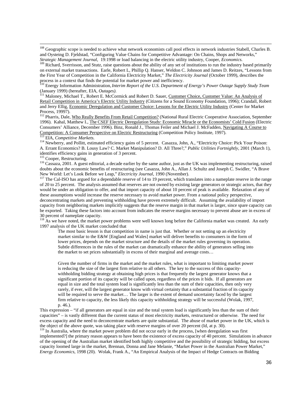<sup>108</sup> Geographic scope is needed to achieve what network economists call pool effects in network industries Stabell, Charles B. and Oysteing D. Fjeldstad, "Configuring Value Chains for Competitive Advantage: On Chains, Shops and Networks," *Strategic Management Journal*, 19:1998 or load balancing in the electric utility industry, Cooper, *Economics.*

<sup>109</sup> Richard, Sverrisson, and Stutz, raise questions about the ability of any set of institutions to run the industry based primarily on external market transactions. Earle, Robert L, Phillip Q. Hanser, Weldon C. Johnson and James D. Reitzes, "Lessons from the First Year of Competition in the California Electricity Market," *The Electricity Journal* (October 1999), describes the

process in a context that finds the potential for market power and inefficiency. <sup>110</sup> Energy Information Administration,*Interim Report of the U.S. Department of Energy's Power Outage Supply Study Team* (January 1999) (hereafter, EIA, *Outages).*

<sup>111</sup> Maloney, Michael T., Robert E. McCormick and Robert D. Sauer, Customer Choice, Customer Value: An Analysis of Retail Competition in America's Electric Utility Industry (Citizens for a Sound Economy Foundation, 1996); Crandall, Robert and Jerry Ellig, Economic Deregulation and Customer Choice: Lessons for the Electric Utility Industry (Center for Market Process, 19997).

<sup>112</sup> Pharris, Dale, Who Really Benefits From Retail Competition? (National Rural Electric Cooperative Association, September 1996). Kahal, Matthew I., The CSEF Electric Deregulation Study: Economic Miracle or the Economists' Cold Fusion (Electric Consumers' Alliance, December 1996). Binz, Ronald J., Thomas Feiler and Michael J. McFadden, Navigating A Course to Competition: A Consumer Perspective on Electric Restructuring (Competition Policy Institute, 1997).

EIA, *Competitive Markets*.

<sup>114</sup> Newberry, and Pollitt, estimated efficiency gains of 5 percent. Casazza, John, A., "Electricity Choice: Pick Your Poison: A. Errant Economics? B. Lousy Law? C. Market Manipulation? D. All Three?," *Public Utilities Fortnightly*, 2001 (March 1), identifies efficiency gains in generation of 3 percent.

<sup>115</sup> Cooper, Restructuring.

l

<sup>116</sup> Cassaza, 2001. A guest editorial, a decade earlier by the same author, just as the UK was implementing restructuring, raised doubts about the economic benefits of restructuring (see Casazza, John A., Allan J. Schultz and Joseph C. Swidler, "A Brave New World: Let's Look Before we Leap," *Electricity Journal*, 1990 (November).

<sup>117</sup> The Cal-ISO has argued for a dependable reserve of 14 to 19 percent, which translates into a nameplate reserve in the range of 20 to 25 percent. The analysis assumed that reserves are not owned by existing large generators or strategic actors, that they would be under an obligation to offer, and that import capacity of about 10 percent of peak is available. Relaxation of any of these assumptions would increase the reserve necessary to avoid market power. From a national policy perspective, deconcentrating markets and preventing withholding have proven extremely difficult. Assuming the availability of import capacity from neighboring markets implicitly suggests that the reserve margin in that market is larger, since spare capacity can be exported. Taking these factors into account from indicates the reserve margins necessary to prevent abuse are in excess of 30 percent of nameplate capacity.

<sup>118</sup> As we have noted, the market power problems were well known long before the California market was created. An early 1997 analysis of the UK market concluded that

The most basic lesson is that competition in name is just that. Whether or not setting up an electricity market similar to the E&W [England and Wales] market will deliver benefits to consumers in the form of lower prices, depends on the market structure and the details of the market rules governing its operation. Subtle differences in the rules of the market can dramatically enhance the ability of generators selling into the market to set prices substantially in excess of their marginal and average costs…

Given the number of firms in the market and the market rules, what is important to limiting market power is reducing the size of the largest firm relative to all others. The key to the success of this capacitywithholding bidding strategy at obtaining high prices is that frequently the largest generator knows that a significant portion of its capacity will be called upon, regardless of the prices it bids. If all generators are equal in size and the total system load is significantly less than the sum of their capacities, then only very rarely, if ever, will the largest generator know with virtual certainty that a substantial fraction of its capacity will be required to serve the market… The larger is the extent of demand uncertainty faced by the largest firm relative to capacity, the less likely this capacity withholding strategy will be successful (Wolak, 1997, p. 46.).

This expression – "if all generators are equal in size and the total system load is significantly less than the sum of their capacities" – is vastly different than the current status of most electricity markets, restructured or otherwise. The need for excess capacity and the need to deconcentrate markets are quite substantial. The abuse of market power in the UK, which is the object of the above quote, was taking place with reserve margins of over 20 percent (Id, at p. 30).

<sup>119</sup> In Australia, where the market power problem did not occur early in the process, [when deregulation was first implemented?] the primary reason appears to have been the existence of excess capacity of 40 percent. Simulations in advance of the opening of the Australian market identified both highly competitive and the possibility of strategic bidding, but excess capacity loomed large in the market, Brennan, Donna and Jane Melanie, "Market Power in the Australian Power Market," *Energy Economics,* 1998 (20). Wolak, Frank A., "An Empirical Analysis of the Impact of Hedge Contracts on Bidding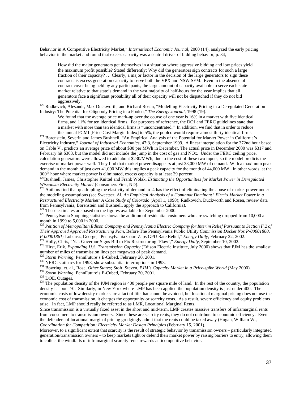Behavior in A Competitive Electricity Market," *International Economic Journal,* 2000 (14), analyzed the early pricing behavior in the market and found that excess capacity was a central driver of bidding behavior, p. 34,

How did the major generators get themselves in a situation where aggressive bidding and low prices yield the maximum profit possible? Stated differently: Why did the generators sign contracts for such a large fraction of their capacity? … Clearly, a major factor in the decision of the large generators to sign these contracts is excess generation capacity to serve both the VPX and NSW SEM. Even in the absence of contract cover being held by any participants, the large amount of capacity available to serve each state market relative to that state's demand in the vast majority of half-hours for the year implies that all generators face a significant probability all of their capacity will not be dispatched if they do not bid aggressively.

<sup>120</sup> Rudkevich, Alesandr, Max Duckworth, and Richard Rosen, "Modelling Electricity Pricing in a Deregulated Generation Industry: The Potential for Oligopoly Pricing in a Poolco," *The Energy Journal,* 1998 (19).

We found that the average price mark-up over the course of one year is 16% in a market with five identical firms, and 11% for ten identical firms. For purposes of reference, the DOJ and FERC guidelines state that a market with more than ten identical firms is "unconcentrated." In addition, we find that in order to reduce the annual PCMI [Price Cost Margin Index] to 5%, the poolco would require almost thirty identical firms.

<sup>121</sup> Borenstein, Severin and James Bushnell, "An Empirical Analysis of the Potential for Market Power in California's Electricity Industry," *Journal of Industrial Economics*, 47:3, September 1999. A linear interpolation for the 372nd hour based on Table V., predicts an average price of about \$80 per MWh in December. The actual price in December 2000 was \$317 and February hit \$363, but the model did not include the jump in the cost of gas and NOx. Under the FERC ceiling price, calculation generators were allowed to add about \$230/MWh, due to the cost of these two inputs, so the model predicts the exercise of market power well. They find that market power disappears at just 33,000 MW of demand. With a maximum peak demand in the month of just over 41,000 MW this implies a peak capacity for the month of 44,000 MW. In other words, at the 300<sup>th</sup> hour where market power is eliminated, excess capacity is at least 29 percent.

<sup>122</sup>Bushnell, James, Christopher Knittel and Frank Wolak, *Estimating the Opportunities for Market Power in Deregulated Wisconsin Electricity Market* (Consumers First, ND).

 $123$  Authors find that quadrupling the elasticity of demand to .4 has the effect of eliminating the abuse of market power under the modeling assumptions (see Sweetser, Al, *An Empirical Analysis of a Cominnat Dominant? Firm's Market Power in a Restructured Electricity Market: A Case Study of Colorado* (April 1, 1998); Rudkovich, Duckworth and Rosen, review data from Pennsylvania, Borenstein and Bushnell, apply the approach to California).

 $124$  These estimates are based on the figures available for September 2000.

 $125$  Pennsylvania Shopping statistics shows the addition of residential customers who are switching dropped from 10,000 a month in 1999 to 5,000 in 2000,

<sup>126</sup> *Petition of Metropolitan Edison Company and Pennsylvania Electric Company for Interim Relief Pursuant to Section F.2 of Their Approved Approved Restructuring Plan*, Before The Pennsylvania Public Utility *Commission Docket Nos P-00001860, P-00001861;* Lobensz, George, "Pennsylvania Court Zaps GPU Rate Relief," *Energy Daily,* February 22, 2002.

<sup>127</sup> Holly, Chris, "N.J. Governor Signs Bill to Fix Restructuring 'Flaw'," *Energy Daily,* September 10, 2002.

<sup>128</sup> Hirst, Erik, *Expanding U.S. Transmission Capacity* (Edison Electric Institute, July 2000) shows that PJM has the smallest number of miles of transmission lines per megawatt of peak demand.

<sup>129</sup> *Storm Warning*, PennFuture's E-Cubed, February 20, 2001.

<sup>130</sup> NERC statistics for 1998, show substantial interruptions in 1998.

<sup>131</sup> Bowring, et. al., Rose, *Other States;* Stoft, Steven, *PJM's Capacity Market in a Price-spike World* (May 2000).

<sup>132</sup> *Storm Warning*, PennFuture's E-Cubed, February 20, 2001.

<sup>133</sup> DOE, Outages.

l

<sup>134</sup> The population density of the PJM region is 400 people per square mile of land. In the rest of the country, the population density is about 70. Similarly, in New York where LMP has been applied the population density is just under 400. The economic costs of low density markets are a fact of life that cannot be avoided, but locational marginal pricing does not use the economic cost of transmission, it charges the opportunity or scarcity costs. As a result, severe efficiency and equity problems arise. In fact, LMP should really be referred to as LMR, Locational Marginal Rents.

Since transmission is a virtually fixed asset in the short and mid-term, LMP creates massive transfers of inframarginal rents from consumers to transmission owners. Since these are scarcity rents, they do not contribute to economic efficiency. Even the defenders of locational marginal pricing grudgingly admit that the rents could be taxed away (Hogan, William W., *Coordination for Competition: Electricity Market Design Principles* (February 15, 2001).

Moreover, to a significant extent that scarcity is the result of strategic behavior by transmission owners – particularly integrated generation/transmission owners – to keep markets tight or defend their market power by raising barriers to entry, allowing them to collect the windfalls of inframarginal scarcity rents rewards anticompetitive behavior.